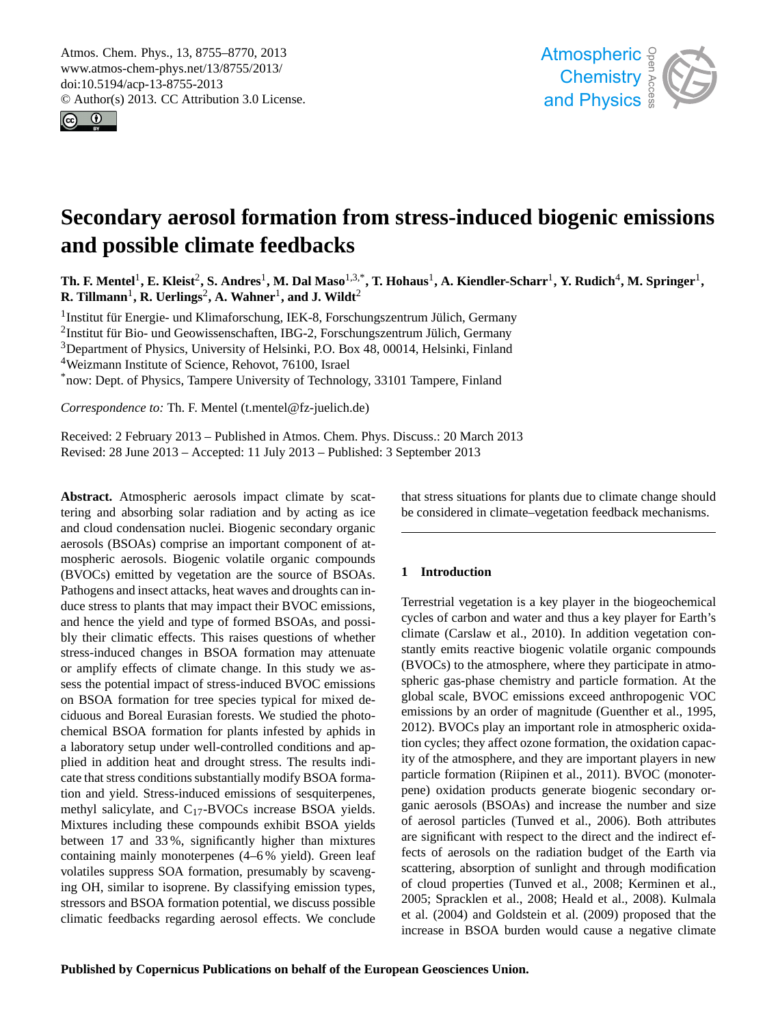<span id="page-0-0"></span>Atmos. Chem. Phys., 13, 8755–8770, 2013 www.atmos-chem-phys.net/13/8755/2013/ doi:10.5194/acp-13-8755-2013 © Author(s) 2013. CC Attribution 3.0 License.





# $S<sub>l</sub>$ **Secondary aerosol formation from stress-induced biogenic emissions and possible climate feedbacks**

Th. F. Mentel<sup>1</sup>, E. Kleist<sup>2</sup>, S. Andres<sup>1</sup>, M. Dal Maso<sup>1,3,\*</sup>, T. Hohaus<sup>1</sup>, A. Kiendler-Scharr<sup>1</sup>, Y. Rudich<sup>4</sup>, M. Springer<sup>1</sup>,  ${\bf R.\ Tillmann}^1, {\bf R.\ Uerlings}^2, {\bf A.\ Wahner}^1, {\bf and\ J.\ Wildt}^2$ 

<sup>1</sup>Institut für Energie- und Klimaforschung, IEK-8, Forschungszentrum Jülich, Germany

 $^{2}$ Institut für Bio- und Geowissenschaften, IBG-2, Forschungszentrum Jülich, Germany

<sup>3</sup>Department of Physics, University of Helsinki, P.O. Box 48, 00014, Helsinki, Finland

<sup>4</sup>Weizmann Institute of Science, Rehovot, 76100, Israel

\*now: Dept. of Physics, Tampere University of Technology, 33101 Tampere, Finland

*Correspondence to:* Th. F. Mentel (t.mentel@fz-juelich.de)

Received: 2 February 2013 – Published in Atmos. Chem. Phys. Discuss.: 20 March 2013 Revised: 28 June 2013 – Accepted: 11 July 2013 – Published: 3 September 2013

**Abstract.** Atmospheric aerosols impact climate by scattering and absorbing solar radiation and by acting as ice and cloud condensation nuclei. Biogenic secondary organic aerosols (BSOAs) comprise an important component of atmospheric aerosols. Biogenic volatile organic compounds (BVOCs) emitted by vegetation are the source of BSOAs. Pathogens and insect attacks, heat waves and droughts can induce stress to plants that may impact their BVOC emissions, and hence the yield and type of formed BSOAs, and possibly their climatic effects. This raises questions of whether stress-induced changes in BSOA formation may attenuate or amplify effects of climate change. In this study we assess the potential impact of stress-induced BVOC emissions on BSOA formation for tree species typical for mixed deciduous and Boreal Eurasian forests. We studied the photochemical BSOA formation for plants infested by aphids in a laboratory setup under well-controlled conditions and applied in addition heat and drought stress. The results indicate that stress conditions substantially modify BSOA formation and yield. Stress-induced emissions of sesquiterpenes, methyl salicylate, and C17-BVOCs increase BSOA yields. Mixtures including these compounds exhibit BSOA yields between 17 and 33 %, significantly higher than mixtures containing mainly monoterpenes (4–6 % yield). Green leaf volatiles suppress SOA formation, presumably by scavenging OH, similar to isoprene. By classifying emission types, stressors and BSOA formation potential, we discuss possible climatic feedbacks regarding aerosol effects. We conclude

Geoscientific be considered in climate–vegetation feedback mechanisms. <u>instrumentation</u> ne<br>|<br>| that stress situations for plants due to climate change should

## **1 Introduction**

cycles of carbon and water and thus a key player for Earth's et al., 2010). In addition vegetation con-<br>stantly emits reactive biogenic volatile organic compounds og<br>er<br>c global scale, BVOC emissions exceed anthropogenic VOC EITHE SHOW AND ONCE OF HAGHING COLEMNET ET al., 1990,<br>2012). BVOCs play an important role in atmospheric oxidation cycles; they affect ozone formation, the oxidation capacoo<br>r e<br>da ganic aerosols (BSOAs) and increase the number and size<br>of agreeal pertiales (Tunyed at al. 2006). Both ettributes ee<br>ot<br>le 2005; Spracklen et al., 2008; Heald et al., 2008). Kulmala  $\frac{1}{2}$ <br>Osen<br>ref Terrestrial vegetation is a key player in the biogeochemical climate (Carslaw et al., 2010). In addition vegetation con-(BVOCs) to the atmosphere, where they participate in atmospheric gas-phase chemistry and particle formation. At the emissions by an order of magnitude (Guenther et al., 1995, ity of the atmosphere, and they are important players in new particle formation (Riipinen et al., 2011). BVOC (monoterpene) oxidation products generate biogenic secondary orof aerosol particles (Tunved et al., 2006). Both attributes are significant with respect to the direct and the indirect effects of aerosols on the radiation budget of the Earth via scattering, absorption of sunlight and through modification of cloud properties (Tunved et al., 2008; Kerminen et al., et al. (2004) and Goldstein et al. (2009) proposed that the increase in BSOA burden would cause a negative climate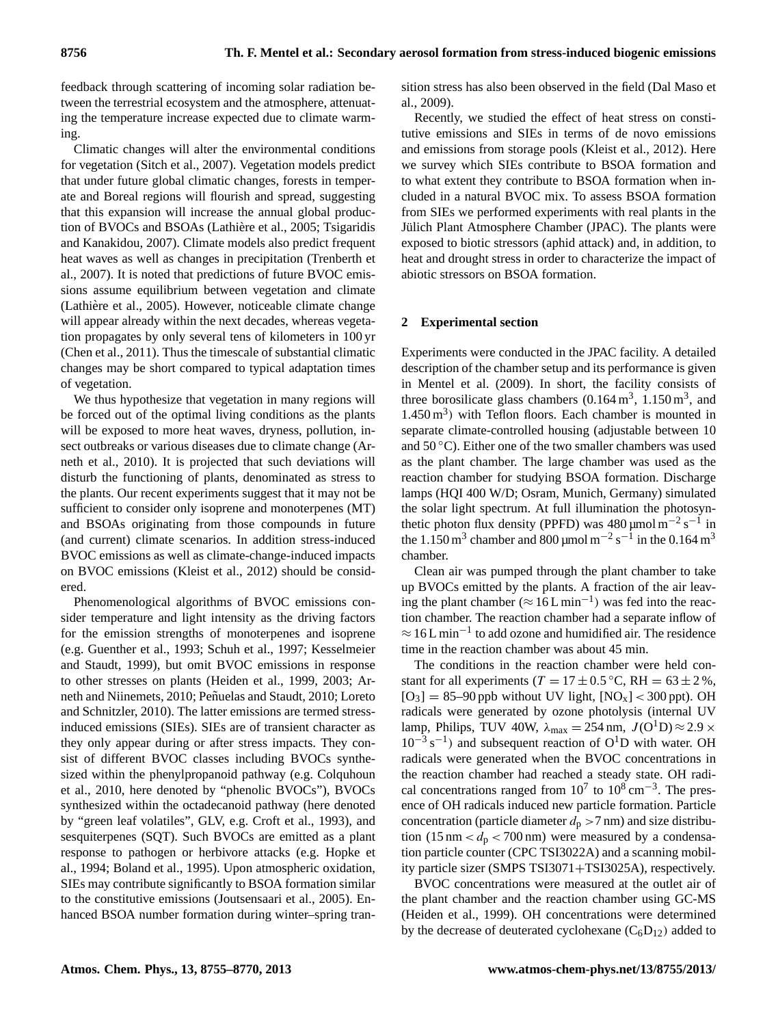feedback through scattering of incoming solar radiation between the terrestrial ecosystem and the atmosphere, attenuating the temperature increase expected due to climate warming.

Climatic changes will alter the environmental conditions for vegetation (Sitch et al., 2007). Vegetation models predict that under future global climatic changes, forests in temperate and Boreal regions will flourish and spread, suggesting that this expansion will increase the annual global production of BVOCs and BSOAs (Lathiere et al., 2005; Tsigaridis ` and Kanakidou, 2007). Climate models also predict frequent heat waves as well as changes in precipitation (Trenberth et al., 2007). It is noted that predictions of future BVOC emissions assume equilibrium between vegetation and climate (Lathiere et al., 2005). However, noticeable climate change ` will appear already within the next decades, whereas vegetation propagates by only several tens of kilometers in 100 yr (Chen et al., 2011). Thus the timescale of substantial climatic changes may be short compared to typical adaptation times of vegetation.

We thus hypothesize that vegetation in many regions will be forced out of the optimal living conditions as the plants will be exposed to more heat waves, dryness, pollution, insect outbreaks or various diseases due to climate change (Arneth et al., 2010). It is projected that such deviations will disturb the functioning of plants, denominated as stress to the plants. Our recent experiments suggest that it may not be sufficient to consider only isoprene and monoterpenes (MT) and BSOAs originating from those compounds in future (and current) climate scenarios. In addition stress-induced BVOC emissions as well as climate-change-induced impacts on BVOC emissions (Kleist et al., 2012) should be considered.

Phenomenological algorithms of BVOC emissions consider temperature and light intensity as the driving factors for the emission strengths of monoterpenes and isoprene (e.g. Guenther et al., 1993; Schuh et al., 1997; Kesselmeier and Staudt, 1999), but omit BVOC emissions in response to other stresses on plants (Heiden et al., 1999, 2003; Arneth and Niinemets, 2010; Peñuelas and Staudt, 2010; Loreto and Schnitzler, 2010). The latter emissions are termed stressinduced emissions (SIEs). SIEs are of transient character as they only appear during or after stress impacts. They consist of different BVOC classes including BVOCs synthesized within the phenylpropanoid pathway (e.g. Colquhoun et al., 2010, here denoted by "phenolic BVOCs"), BVOCs synthesized within the octadecanoid pathway (here denoted by "green leaf volatiles", GLV, e.g. Croft et al., 1993), and sesquiterpenes (SQT). Such BVOCs are emitted as a plant response to pathogen or herbivore attacks (e.g. Hopke et al., 1994; Boland et al., 1995). Upon atmospheric oxidation, SIEs may contribute significantly to BSOA formation similar to the constitutive emissions (Joutsensaari et al., 2005). Enhanced BSOA number formation during winter–spring transition stress has also been observed in the field (Dal Maso et al., 2009).

Recently, we studied the effect of heat stress on constitutive emissions and SIEs in terms of de novo emissions and emissions from storage pools (Kleist et al., 2012). Here we survey which SIEs contribute to BSOA formation and to what extent they contribute to BSOA formation when included in a natural BVOC mix. To assess BSOA formation from SIEs we performed experiments with real plants in the Jülich Plant Atmosphere Chamber (JPAC). The plants were exposed to biotic stressors (aphid attack) and, in addition, to heat and drought stress in order to characterize the impact of abiotic stressors on BSOA formation.

#### **2 Experimental section**

Experiments were conducted in the JPAC facility. A detailed description of the chamber setup and its performance is given in Mentel et al. (2009). In short, the facility consists of three borosilicate glass chambers  $(0.164 \,\mathrm{m}^3, 1.150 \,\mathrm{m}^3, \text{ and}$  $1.450 \text{ m}^3$ ) with Teflon floors. Each chamber is mounted in separate climate-controlled housing (adjustable between 10 and  $50^{\circ}$ C). Either one of the two smaller chambers was used as the plant chamber. The large chamber was used as the reaction chamber for studying BSOA formation. Discharge lamps (HQI 400 W/D; Osram, Munich, Germany) simulated the solar light spectrum. At full illumination the photosynthetic photon flux density (PPFD) was  $480 \mu$ mol m<sup>-2</sup> s<sup>-1</sup> in the 1.150 m<sup>3</sup> chamber and 800 µmol m<sup>-2</sup> s<sup>-1</sup> in the 0.164 m<sup>3</sup> chamber.

Clean air was pumped through the plant chamber to take up BVOCs emitted by the plants. A fraction of the air leaving the plant chamber ( $\approx 16$ L min<sup>-1</sup>) was fed into the reaction chamber. The reaction chamber had a separate inflow of  $\approx 16$  L min<sup>-1</sup> to add ozone and humidified air. The residence time in the reaction chamber was about 45 min.

The conditions in the reaction chamber were held constant for all experiments ( $T = 17 \pm 0.5$  °C, RH = 63  $\pm$  2 %,  $[O_3] = 85-90$  ppb without UV light,  $[NO_x] < 300$  ppt). OH radicals were generated by ozone photolysis (internal UV lamp, Philips, TUV 40W,  $\lambda_{\text{max}} = 254 \text{ nm}$ ,  $J(O^1D) \approx 2.9 \times$  $10^{-3}$  s<sup>-1</sup>) and subsequent reaction of O<sup>1</sup>D with water. OH radicals were generated when the BVOC concentrations in the reaction chamber had reached a steady state. OH radical concentrations ranged from  $10^7$  to  $10^8$  cm<sup>-3</sup>. The presence of OH radicals induced new particle formation. Particle concentration (particle diameter  $d_p > 7$  nm) and size distribution (15 nm  $d_p$  < 700 nm) were measured by a condensation particle counter (CPC TSI3022A) and a scanning mobility particle sizer (SMPS TSI3071+TSI3025A), respectively.

BVOC concentrations were measured at the outlet air of the plant chamber and the reaction chamber using GC-MS (Heiden et al., 1999). OH concentrations were determined by the decrease of deuterated cyclohexane  $(C_6D_{12})$  added to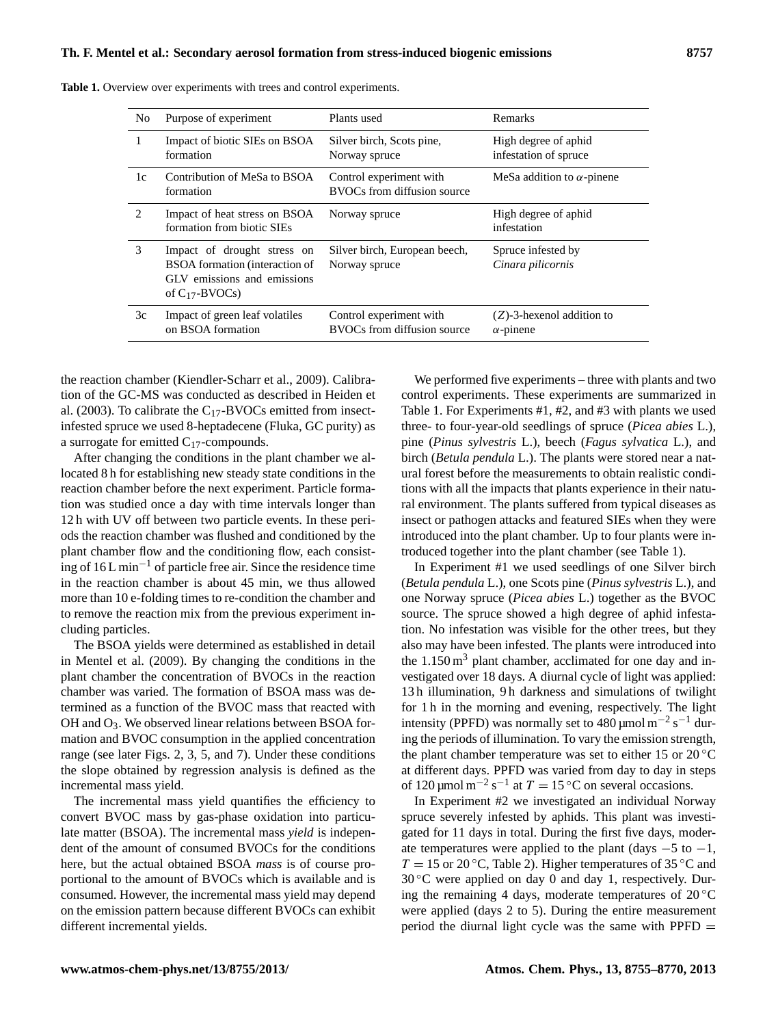| N <sub>0</sub> | Purpose of experiment                                                                                               | Plants used                                            | <b>Remarks</b>                                   |
|----------------|---------------------------------------------------------------------------------------------------------------------|--------------------------------------------------------|--------------------------------------------------|
| 1              | Impact of biotic SIEs on BSOA<br>formation                                                                          | Silver birch, Scots pine,<br>Norway spruce             | High degree of aphid<br>infestation of spruce    |
| 1c             | Contribution of MeSa to BSOA<br>formation                                                                           | Control experiment with<br>BVOCs from diffusion source | MeSa addition to $\alpha$ -pinene                |
| $\mathfrak{D}$ | Impact of heat stress on BSOA<br>formation from biotic SIEs                                                         | Norway spruce                                          | High degree of aphid<br>infestation              |
| 3              | Impact of drought stress on<br>BSOA formation (interaction of<br>GLV emissions and emissions<br>of $C_{17}$ -BVOCs) | Silver birch, European beech,<br>Norway spruce         | Spruce infested by<br>Cinara pilicornis          |
| 3c             | Impact of green leaf volatiles<br>on BSOA formation                                                                 | Control experiment with<br>BVOCs from diffusion source | $(Z)$ -3-hexenol addition to<br>$\alpha$ -pinene |

**Table 1.** Overview over experiments with trees and control experiments.

the reaction chamber (Kiendler-Scharr et al., 2009). Calibration of the GC-MS was conducted as described in Heiden et al. (2003). To calibrate the  $C_{17}$ -BVOCs emitted from insectinfested spruce we used 8-heptadecene (Fluka, GC purity) as a surrogate for emitted  $C_{17}$ -compounds.

After changing the conditions in the plant chamber we allocated 8 h for establishing new steady state conditions in the reaction chamber before the next experiment. Particle formation was studied once a day with time intervals longer than 12 h with UV off between two particle events. In these periods the reaction chamber was flushed and conditioned by the plant chamber flow and the conditioning flow, each consisting of  $16$  L min<sup>-1</sup> of particle free air. Since the residence time in the reaction chamber is about 45 min, we thus allowed more than 10 e-folding times to re-condition the chamber and to remove the reaction mix from the previous experiment including particles.

The BSOA yields were determined as established in detail in Mentel et al. (2009). By changing the conditions in the plant chamber the concentration of BVOCs in the reaction chamber was varied. The formation of BSOA mass was determined as a function of the BVOC mass that reacted with OH and  $O_3$ . We observed linear relations between BSOA formation and BVOC consumption in the applied concentration range (see later Figs. 2, 3, 5, and 7). Under these conditions the slope obtained by regression analysis is defined as the incremental mass yield.

The incremental mass yield quantifies the efficiency to convert BVOC mass by gas-phase oxidation into particulate matter (BSOA). The incremental mass *yield* is independent of the amount of consumed BVOCs for the conditions here, but the actual obtained BSOA *mass* is of course proportional to the amount of BVOCs which is available and is consumed. However, the incremental mass yield may depend on the emission pattern because different BVOCs can exhibit different incremental yields.

We performed five experiments – three with plants and two control experiments. These experiments are summarized in Table 1. For Experiments #1, #2, and #3 with plants we used three- to four-year-old seedlings of spruce (*Picea abies* L.), pine (*Pinus sylvestris* L.), beech (*Fagus sylvatica* L.), and birch (*Betula pendula* L.). The plants were stored near a natural forest before the measurements to obtain realistic conditions with all the impacts that plants experience in their natural environment. The plants suffered from typical diseases as insect or pathogen attacks and featured SIEs when they were introduced into the plant chamber. Up to four plants were introduced together into the plant chamber (see Table 1).

In Experiment #1 we used seedlings of one Silver birch (*Betula pendula* L.), one Scots pine (*Pinus sylvestris* L.), and one Norway spruce (*Picea abies* L.) together as the BVOC source. The spruce showed a high degree of aphid infestation. No infestation was visible for the other trees, but they also may have been infested. The plants were introduced into the  $1.150 \text{ m}^3$  plant chamber, acclimated for one day and investigated over 18 days. A diurnal cycle of light was applied: 13 h illumination, 9 h darkness and simulations of twilight for 1 h in the morning and evening, respectively. The light intensity (PPFD) was normally set to  $480 \mu$ mol m<sup>-2</sup> s<sup>-1</sup> during the periods of illumination. To vary the emission strength, the plant chamber temperature was set to either 15 or  $20^{\circ}$ C at different days. PPFD was varied from day to day in steps of 120 µmol m<sup>-2</sup> s<sup>-1</sup> at  $T = 15$  °C on several occasions.

In Experiment #2 we investigated an individual Norway spruce severely infested by aphids. This plant was investigated for 11 days in total. During the first five days, moderate temperatures were applied to the plant (days  $-5$  to  $-1$ ,  $T = 15$  or 20 °C, Table 2). Higher temperatures of 35 °C and  $30^{\circ}$ C were applied on day 0 and day 1, respectively. During the remaining 4 days, moderate temperatures of  $20^{\circ}$ C were applied (days 2 to 5). During the entire measurement period the diurnal light cycle was the same with  $PPFD =$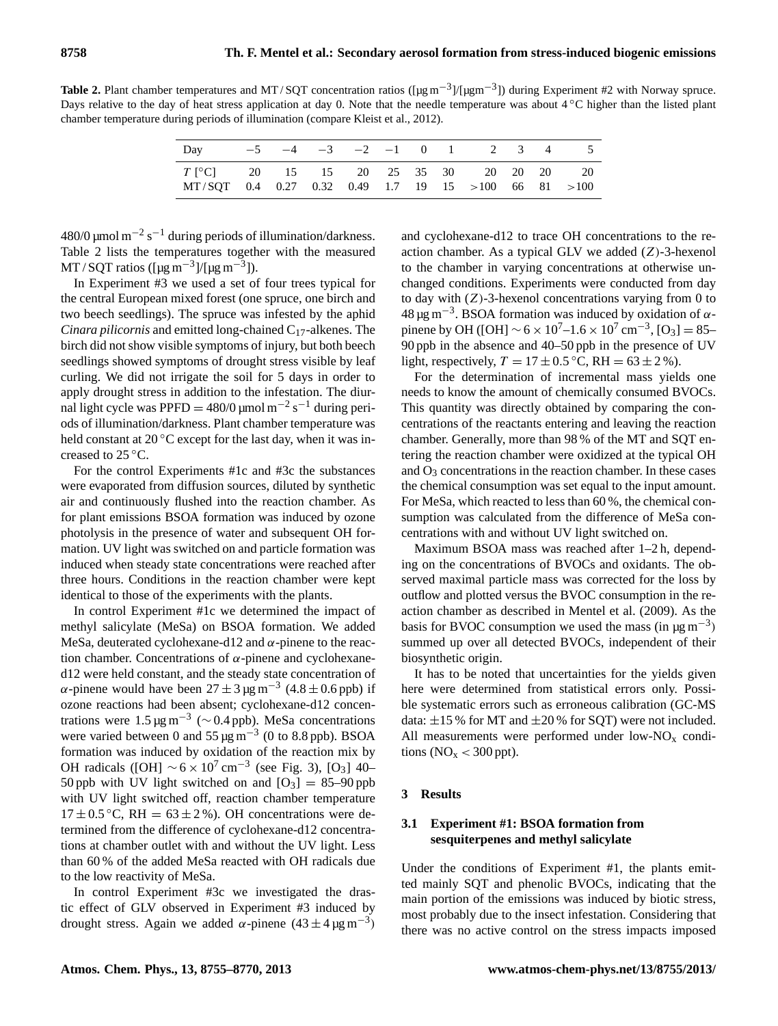Table 2. Plant chamber temperatures and MT/SQT concentration ratios ([µg m<sup>-3</sup>]/[µgm<sup>-3</sup>]) during Experiment #2 with Norway spruce. Days relative to the day of heat stress application at day 0. Note that the needle temperature was about 4 ℃ higher than the listed plant chamber temperature during periods of illumination (compare Kleist et al., 2012).

| Day $-5$ $-4$ $-3$ $-2$ $-1$ 0 1 2 3 4 5                                                                 |  |  |  |  |  |  |
|----------------------------------------------------------------------------------------------------------|--|--|--|--|--|--|
| $T[^{\circ}C]$ 20 15 15 20 25 35 30 20 20 20 20<br>MT/SOT 0.4 0.27 0.32 0.49 1.7 19 15 > 100 66 81 > 100 |  |  |  |  |  |  |

480/0 μmol m<sup>-2</sup> s<sup>-1</sup> during periods of illumination/darkness. Table 2 lists the temperatures together with the measured MT / SQT ratios ([µg m<sup>-3</sup>]/[µg m<sup>-3</sup>]).

In Experiment #3 we used a set of four trees typical for the central European mixed forest (one spruce, one birch and two beech seedlings). The spruce was infested by the aphid *Cinara pilicornis* and emitted long-chained C17-alkenes. The birch did not show visible symptoms of injury, but both beech seedlings showed symptoms of drought stress visible by leaf curling. We did not irrigate the soil for 5 days in order to apply drought stress in addition to the infestation. The diurnal light cycle was PPFD =  $480/0$  µmol m<sup>-2</sup> s<sup>-1</sup> during periods of illumination/darkness. Plant chamber temperature was held constant at  $20^{\circ}$ C except for the last day, when it was increased to 25 ◦C.

For the control Experiments #1c and #3c the substances were evaporated from diffusion sources, diluted by synthetic air and continuously flushed into the reaction chamber. As for plant emissions BSOA formation was induced by ozone photolysis in the presence of water and subsequent OH formation. UV light was switched on and particle formation was induced when steady state concentrations were reached after three hours. Conditions in the reaction chamber were kept identical to those of the experiments with the plants.

In control Experiment #1c we determined the impact of methyl salicylate (MeSa) on BSOA formation. We added MeSa, deuterated cyclohexane-d12 and  $\alpha$ -pinene to the reaction chamber. Concentrations of α-pinene and cyclohexaned12 were held constant, and the steady state concentration of  $\alpha$ -pinene would have been  $27 \pm 3 \,\mu g \, \text{m}^{-3}$  (4.8  $\pm$  0.6 ppb) if ozone reactions had been absent; cyclohexane-d12 concentrations were  $1.5 \,\mathrm{\mu g\,m}^{-3}$  ( $\sim 0.4 \,\mathrm{ppb}$ ). MeSa concentrations were varied between 0 and  $55 \mu g m^{-3}$  (0 to 8.8 ppb). BSOA formation was induced by oxidation of the reaction mix by OH radicals ([OH]  $\sim$  6 × 10<sup>7</sup> cm<sup>-3</sup> (see Fig. 3), [O<sub>3</sub>] 40– 50 ppb with UV light switched on and  $[O_3] = 85-90$  ppb with UV light switched off, reaction chamber temperature  $17 \pm 0.5$  °C, RH =  $63 \pm 2$  %). OH concentrations were determined from the difference of cyclohexane-d12 concentrations at chamber outlet with and without the UV light. Less than 60 % of the added MeSa reacted with OH radicals due to the low reactivity of MeSa.

In control Experiment #3c we investigated the drastic effect of GLV observed in Experiment #3 induced by drought stress. Again we added  $\alpha$ -pinene (43 ± 4 µg m<sup>-3</sup>)

and cyclohexane-d12 to trace OH concentrations to the reaction chamber. As a typical GLV we added  $(Z)$ -3-hexenol to the chamber in varying concentrations at otherwise unchanged conditions. Experiments were conducted from day to day with  $(Z)$ -3-hexenol concentrations varying from 0 to 48 μg m<sup>-3</sup>. BSOA formation was induced by oxidation of αpinene by OH ([OH]  $\sim$  6 × 10<sup>7</sup> –1.6 × 10<sup>7</sup> cm<sup>-3</sup>, [O<sub>3</sub>] = 85– 90 ppb in the absence and 40–50 ppb in the presence of UV light, respectively,  $T = 17 \pm 0.5^{\circ}$ C, RH = 63 ± 2%).

For the determination of incremental mass yields one needs to know the amount of chemically consumed BVOCs. This quantity was directly obtained by comparing the concentrations of the reactants entering and leaving the reaction chamber. Generally, more than 98 % of the MT and SQT entering the reaction chamber were oxidized at the typical OH and  $O_3$  concentrations in the reaction chamber. In these cases the chemical consumption was set equal to the input amount. For MeSa, which reacted to less than 60 %, the chemical consumption was calculated from the difference of MeSa concentrations with and without UV light switched on.

Maximum BSOA mass was reached after 1–2 h, depending on the concentrations of BVOCs and oxidants. The observed maximal particle mass was corrected for the loss by outflow and plotted versus the BVOC consumption in the reaction chamber as described in Mentel et al. (2009). As the basis for BVOC consumption we used the mass (in  $\mu$ g m<sup>-3</sup>) summed up over all detected BVOCs, independent of their biosynthetic origin.

It has to be noted that uncertainties for the yields given here were determined from statistical errors only. Possible systematic errors such as erroneous calibration (GC-MS data:  $\pm 15$  % for MT and  $\pm 20$  % for SQT) were not included. All measurements were performed under low- $NO<sub>x</sub>$  conditions ( $NO<sub>x</sub> < 300$  ppt).

#### **3 Results**

# **3.1 Experiment #1: BSOA formation from sesquiterpenes and methyl salicylate**

Under the conditions of Experiment #1, the plants emitted mainly SQT and phenolic BVOCs, indicating that the main portion of the emissions was induced by biotic stress, most probably due to the insect infestation. Considering that there was no active control on the stress impacts imposed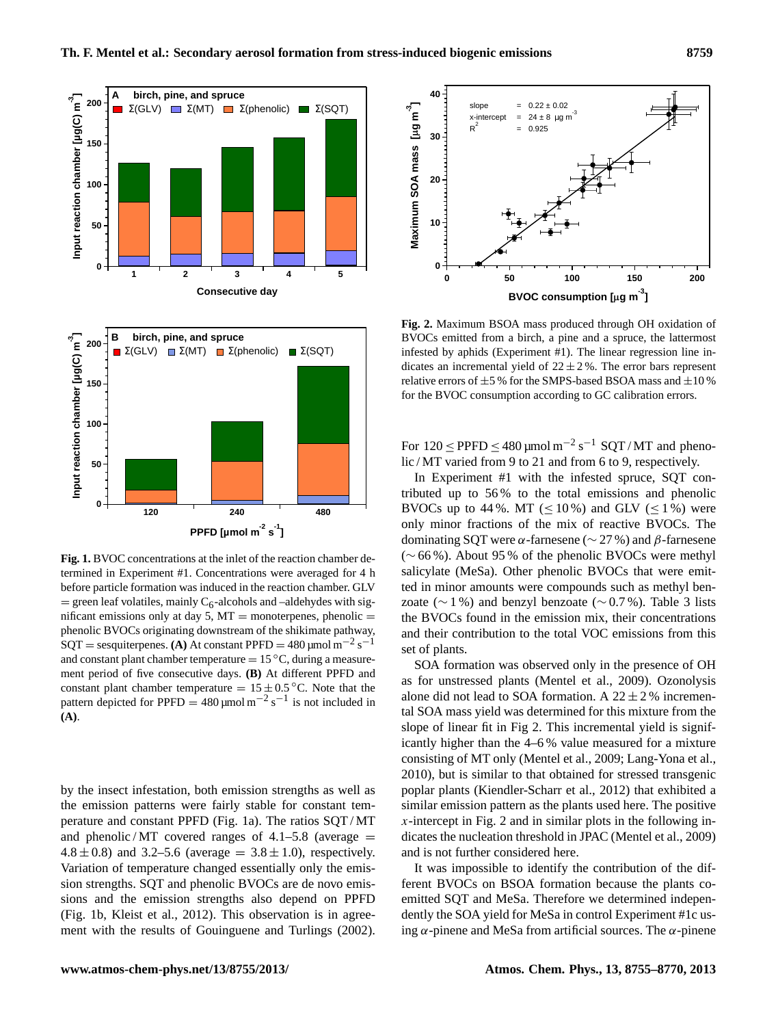

**Fig. 1.** BVOC concentrations at the inlet of the reaction chamber determined in Experiment #1. Concentrations were averaged for 4 h before particle formation was induced in the reaction chamber. GLV  $=$  green leaf volatiles, mainly C<sub>6</sub>-alcohols and –aldehydes with significant emissions only at day 5,  $MT =$  monoterpenes, phenolic  $=$ phenolic BVOCs originating downstream of the shikimate pathway,  $SQT =$  sesquiterpenes. **(A)** At constant PPFD = 480 µmol  $m^{-2} s^{-1}$ and constant plant chamber temperature  $= 15 \degree C$ , during a measurement period of five consecutive days. **(B)** At different PPFD and constant plant chamber temperature =  $15 \pm 0.5$  °C. Note that the pattern depicted for PPFD =  $480 \mu$ mol m<sup>-2</sup> s<sup>-1</sup> is not included in **(A)**.

by the insect infestation, both emission strengths as well as the emission patterns were fairly stable for constant temperature and constant PPFD (Fig. 1a). The ratios SQT / MT and phenolic/MT covered ranges of  $4.1-5.8$  (average = 4.8  $\pm$  0.8) and 3.2–5.6 (average = 3.8  $\pm$  1.0), respectively. Variation of temperature changed essentially only the emission strengths. SQT and phenolic BVOCs are de novo emissions and the emission strengths also depend on PPFD (Fig. 1b, Kleist et al., 2012). This observation is in agreement with the results of Gouinguene and Turlings (2002).



**Fig. 2.** Maximum BSOA mass produced through OH oxidation of BVOCs emitted from a birch, a pine and a spruce, the lattermost infested by aphids (Experiment #1). The linear regression line indicates an incremental yield of  $22 \pm 2\%$ . The error bars represent relative errors of  $\pm 5$ % for the SMPS-based BSOA mass and  $\pm 10$ % for the BVOC consumption according to GC calibration errors.

For  $120 \leq P$ PFD  $\leq 480 \mu$ mol m<sup>-2</sup> s<sup>-1</sup> SQT / MT and phenolic / MT varied from 9 to 21 and from 6 to 9, respectively.

In Experiment #1 with the infested spruce, SQT contributed up to 56 % to the total emissions and phenolic BVOCs up to 44 %. MT ( $\leq 10\%$ ) and GLV ( $\leq 1\%$ ) were only minor fractions of the mix of reactive BVOCs. The dominating SOT were  $\alpha$ -farnesene ( $\sim$  27 %) and  $\beta$ -farnesene (∼ 66 %). About 95 % of the phenolic BVOCs were methyl salicylate (MeSa). Other phenolic BVOCs that were emitted in minor amounts were compounds such as methyl benzoate ( $\sim$  1 %) and benzyl benzoate ( $\sim$  0.7 %). Table 3 lists the BVOCs found in the emission mix, their concentrations and their contribution to the total VOC emissions from this set of plants.

SOA formation was observed only in the presence of OH as for unstressed plants (Mentel et al., 2009). Ozonolysis alone did not lead to SOA formation. A  $22 \pm 2$  % incremental SOA mass yield was determined for this mixture from the slope of linear fit in Fig 2. This incremental yield is significantly higher than the 4–6 % value measured for a mixture consisting of MT only (Mentel et al., 2009; Lang-Yona et al., 2010), but is similar to that obtained for stressed transgenic poplar plants (Kiendler-Scharr et al., 2012) that exhibited a similar emission pattern as the plants used here. The positive  $x$ -intercept in Fig. 2 and in similar plots in the following indicates the nucleation threshold in JPAC (Mentel et al., 2009) and is not further considered here.

It was impossible to identify the contribution of the different BVOCs on BSOA formation because the plants coemitted SQT and MeSa. Therefore we determined independently the SOA yield for MeSa in control Experiment #1c using  $\alpha$ -pinene and MeSa from artificial sources. The  $\alpha$ -pinene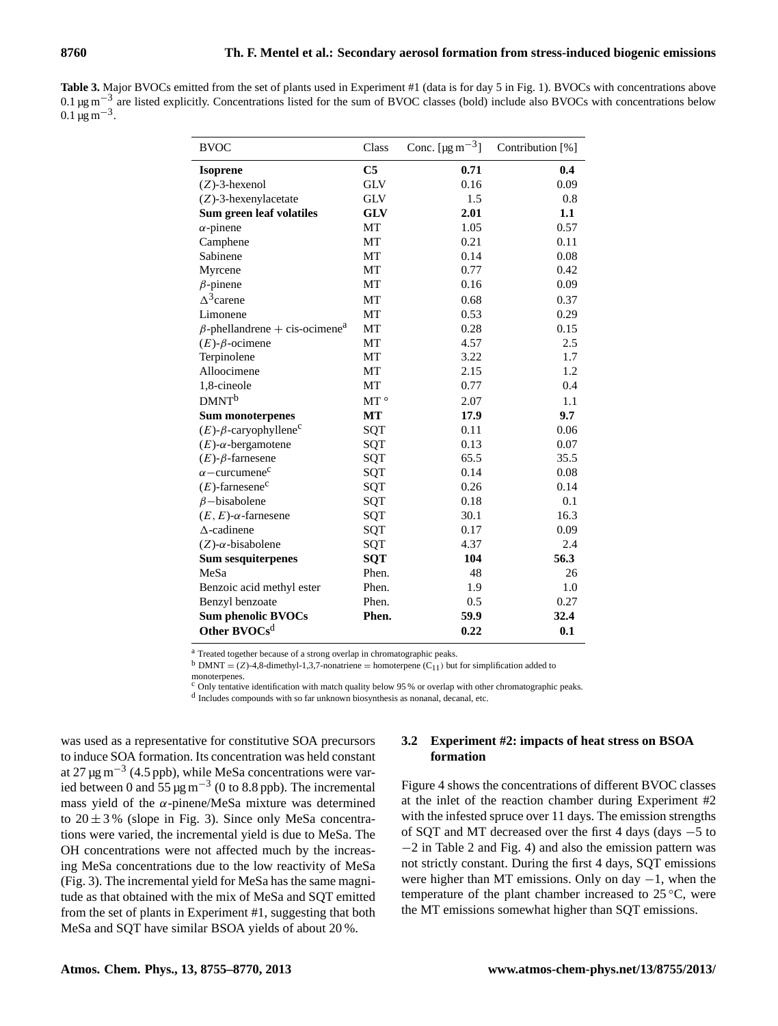Table 3. Major BVOCs emitted from the set of plants used in Experiment #1 (data is for day 5 in Fig. 1). BVOCs with concentrations above 0.1 µg m<sup>-3</sup> are listed explicitly. Concentrations listed for the sum of BVOC classes (bold) include also BVOCs with concentrations below  $0.1 \,\mathrm{\mu g\,m^{-3}}$ .

| <b>BVOC</b>                                      | Class          | Conc. [ $\mu$ g m <sup>-3</sup> ] | Contribution [%] |
|--------------------------------------------------|----------------|-----------------------------------|------------------|
| <b>Isoprene</b>                                  | C <sub>5</sub> | 0.71                              | 0.4              |
| $(Z)$ -3-hexenol                                 | <b>GLV</b>     | 0.16                              | 0.09             |
| $(Z)$ -3-hexenylacetate                          | <b>GLV</b>     | 1.5                               | 0.8              |
| Sum green leaf volatiles                         | <b>GLV</b>     | 2.01                              | 1.1              |
| $\alpha$ -pinene                                 | MT             | 1.05                              | 0.57             |
| Camphene                                         | MT             | 0.21                              | 0.11             |
| Sabinene                                         | MT             | 0.14                              | 0.08             |
| Myrcene                                          | MT             | 0.77                              | 0.42             |
| $\beta$ -pinene                                  | MT             | 0.16                              | 0.09             |
| $\Delta^3$ carene                                | MT             | 0.68                              | 0.37             |
| Limonene                                         | MT             | 0.53                              | 0.29             |
| $\beta$ -phellandrene + cis-ocimene <sup>a</sup> | MT             | 0.28                              | 0.15             |
| $(E)$ - $\beta$ -ocimene                         | MT             | 4.57                              | 2.5              |
| Terpinolene                                      | MT             | 3.22                              | 1.7              |
| Alloocimene                                      | MT             | 2.15                              | 1.2              |
| 1,8-cineole                                      | MT             | 0.77                              | 0.4              |
| DMNT <sup>b</sup>                                | MT $^\circ$    | 2.07                              | 1.1              |
| <b>Sum monoterpenes</b>                          | <b>MT</b>      | 17.9                              | 9.7              |
| $(E)$ - $\beta$ -caryophyllene <sup>c</sup>      | SQT            | 0.11                              | 0.06             |
| $(E)$ - $\alpha$ -bergamotene                    | SQT            | 0.13                              | 0.07             |
| $(E)$ - $\beta$ -farnesene                       | SQT            | 65.5                              | 35.5             |
| $\alpha$ – curcumene <sup>c</sup>                | SQT            | 0.14                              | 0.08             |
| $(E)$ -farnesene <sup>c</sup>                    | SQT            | 0.26                              | 0.14             |
| $\beta$ -bisabolene                              | SQT            | 0.18                              | 0.1              |
| $(E, E)$ - $\alpha$ -farnesene                   | SQT            | 30.1                              | 16.3             |
| $\Delta$ -cadinene                               | SQT            | 0.17                              | 0.09             |
| $(Z)$ - $\alpha$ -bisabolene                     | SQT            | 4.37                              | 2.4              |
| <b>Sum sesquiterpenes</b>                        | <b>SQT</b>     | 104                               | 56.3             |
| MeSa                                             | Phen.          | 48                                | 26               |
| Benzoic acid methyl ester                        | Phen.          | 1.9                               | 1.0              |
| Benzyl benzoate                                  | Phen.          | 0.5                               | 0.27             |
| <b>Sum phenolic BVOCs</b>                        | Phen.          | 59.9                              | 32.4             |
| Other BVOCs <sup>d</sup>                         |                | 0.22                              | 0.1              |

<sup>a</sup> Treated together because of a strong overlap in chromatographic peaks.

 $b$  DMNT = (Z)-4,8-dimethyl-1,3,7-nonatriene = homoterpene (C<sub>11</sub>) but for simplification added to

monoterpenes.

 $c$  Only tentative identification with match quality below 95 % or overlap with other chromatographic peaks.

<sup>d</sup> Includes compounds with so far unknown biosynthesis as nonanal, decanal, etc.

was used as a representative for constitutive SOA precursors to induce SOA formation. Its concentration was held constant at 27  $\mu$ g m<sup>-3</sup> (4.5 ppb), while MeSa concentrations were varied between 0 and  $55 \mu g m^{-3}$  (0 to 8.8 ppb). The incremental mass yield of the  $\alpha$ -pinene/MeSa mixture was determined to  $20 \pm 3$ % (slope in Fig. 3). Since only MeSa concentrations were varied, the incremental yield is due to MeSa. The OH concentrations were not affected much by the increasing MeSa concentrations due to the low reactivity of MeSa (Fig. 3). The incremental yield for MeSa has the same magnitude as that obtained with the mix of MeSa and SQT emitted from the set of plants in Experiment #1, suggesting that both MeSa and SQT have similar BSOA yields of about 20 %.

## **3.2 Experiment #2: impacts of heat stress on BSOA formation**

Figure 4 shows the concentrations of different BVOC classes at the inlet of the reaction chamber during Experiment #2 with the infested spruce over 11 days. The emission strengths of SQT and MT decreased over the first 4 days (days −5 to −2 in Table 2 and Fig. 4) and also the emission pattern was not strictly constant. During the first 4 days, SQT emissions were higher than MT emissions. Only on day  $-1$ , when the temperature of the plant chamber increased to  $25^{\circ}$ C, were the MT emissions somewhat higher than SQT emissions.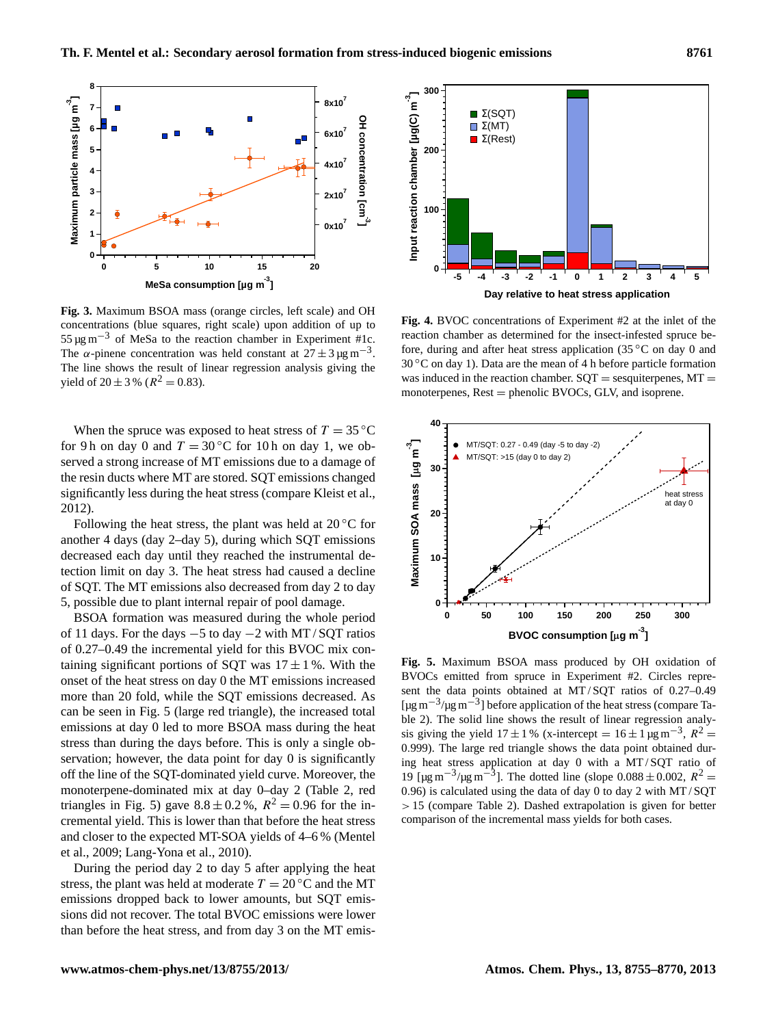

**Fig. 3.** Maximum BSOA mass (orange circles, left scale) and OH concentrations (blue squares, right scale) upon addition of up to  $55 \,\mathrm{\mu g\,m}^{-3}$  of MeSa to the reaction chamber in Experiment #1c. The  $\alpha$ -pinene concentration was held constant at  $27 \pm 3 \,\mu\text{g m}^{-3}$ . The line shows the result of linear regression analysis giving the yield of  $20 \pm 3$  % ( $R^2 = 0.83$ ).

When the spruce was exposed to heat stress of  $T = 35 \degree C$ for 9 h on day 0 and  $T = 30$  °C for 10 h on day 1, we observed a strong increase of MT emissions due to a damage of the resin ducts where MT are stored. SQT emissions changed significantly less during the heat stress (compare Kleist et al., 2012).

Following the heat stress, the plant was held at  $20^{\circ}$ C for another 4 days (day 2–day 5), during which SQT emissions decreased each day until they reached the instrumental detection limit on day 3. The heat stress had caused a decline of SQT. The MT emissions also decreased from day 2 to day 5, possible due to plant internal repair of pool damage.

BSOA formation was measured during the whole period of 11 days. For the days −5 to day −2 with MT / SQT ratios of 0.27–0.49 the incremental yield for this BVOC mix containing significant portions of SQT was  $17 \pm 1$ %. With the onset of the heat stress on day 0 the MT emissions increased more than 20 fold, while the SQT emissions decreased. As can be seen in Fig. 5 (large red triangle), the increased total emissions at day 0 led to more BSOA mass during the heat stress than during the days before. This is only a single observation; however, the data point for day 0 is significantly off the line of the SQT-dominated yield curve. Moreover, the monoterpene-dominated mix at day 0–day 2 (Table 2, red triangles in Fig. 5) gave  $8.8 \pm 0.2$ %,  $R^2 = 0.96$  for the incremental yield. This is lower than that before the heat stress and closer to the expected MT-SOA yields of 4–6 % (Mentel et al., 2009; Lang-Yona et al., 2010).

During the period day 2 to day 5 after applying the heat stress, the plant was held at moderate  $T = 20\degree C$  and the MT emissions dropped back to lower amounts, but SQT emissions did not recover. The total BVOC emissions were lower than before the heat stress, and from day 3 on the MT emis-



**Fig. 4.** BVOC concentrations of Experiment #2 at the inlet of the reaction chamber as determined for the insect-infested spruce before, during and after heat stress application (35  $\rm{°C}$  on day 0 and  $30\degree$ C on day 1). Data are the mean of 4 h before particle formation was induced in the reaction chamber.  $SOT =$  sesquiterpenes,  $MT =$ monoterpenes,  $Rest = phenolic BVOCs$ , GLV, and isoprene.



**Fig. 5.** Maximum BSOA mass produced by OH oxidation of BVOCs emitted from spruce in Experiment #2. Circles represent the data points obtained at MT / SQT ratios of 0.27–0.49 [µg m−<sup>3</sup> /µg m−<sup>3</sup> ] before application of the heat stress (compare Table 2). The solid line shows the result of linear regression analysis giving the yield  $17 \pm 1$ % (x-intercept =  $16 \pm 1$  µg m<sup>-3</sup>,  $R^2$  = 0.999). The large red triangle shows the data point obtained during heat stress application at day 0 with a MT / SQT ratio of 19 [μg m<sup>-3</sup>/μg m<sup>-3</sup>]. The dotted line (slope 0.088 ± 0.002,  $R^2$  = 0.96) is calculated using the data of day 0 to day 2 with MT / SQT > 15 (compare Table 2). Dashed extrapolation is given for better comparison of the incremental mass yields for both cases.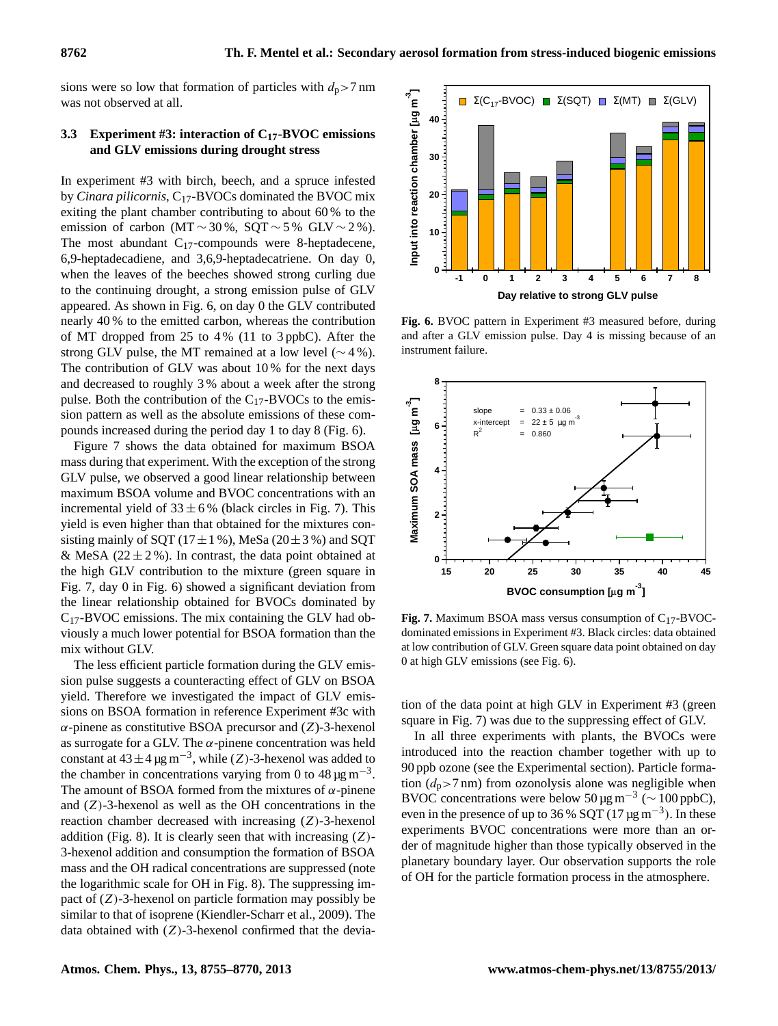sions were so low that formation of particles with  $d_p > 7$  nm was not observed at all.

# **3.3 Experiment #3: interaction of C17-BVOC emissions and GLV emissions during drought stress**

In experiment #3 with birch, beech, and a spruce infested by *Cinara pilicornis*, C<sub>17</sub>-BVOCs dominated the BVOC mix exiting the plant chamber contributing to about 60 % to the emission of carbon (MT  $\sim$  30%, SQT  $\sim$  5% GLV  $\sim$  2%). The most abundant  $C_{17}$ -compounds were 8-heptadecene, 6,9-heptadecadiene, and 3,6,9-heptadecatriene. On day 0, when the leaves of the beeches showed strong curling due to the continuing drought, a strong emission pulse of GLV appeared. As shown in Fig. 6, on day 0 the GLV contributed nearly 40 % to the emitted carbon, whereas the contribution of MT dropped from 25 to 4 % (11 to 3 ppbC). After the strong GLV pulse, the MT remained at a low level ( $\sim$  4%). The contribution of GLV was about 10 % for the next days and decreased to roughly 3 % about a week after the strong pulse. Both the contribution of the  $C_{17}$ -BVOCs to the emission pattern as well as the absolute emissions of these compounds increased during the period day 1 to day 8 (Fig. 6).

Figure 7 shows the data obtained for maximum BSOA mass during that experiment. With the exception of the strong GLV pulse, we observed a good linear relationship between maximum BSOA volume and BVOC concentrations with an incremental yield of  $33 \pm 6$ % (black circles in Fig. 7). This yield is even higher than that obtained for the mixtures consisting mainly of SQT ( $17 \pm 1$  %), MeSa ( $20 \pm 3$  %) and SQT & MeSA ( $22 \pm 2\%$ ). In contrast, the data point obtained at the high GLV contribution to the mixture (green square in Fig. 7, day 0 in Fig. 6) showed a significant deviation from the linear relationship obtained for BVOCs dominated by  $C_{17}$ -BVOC emissions. The mix containing the GLV had obviously a much lower potential for BSOA formation than the mix without GLV.

The less efficient particle formation during the GLV emission pulse suggests a counteracting effect of GLV on BSOA yield. Therefore we investigated the impact of GLV emissions on BSOA formation in reference Experiment #3c with  $\alpha$ -pinene as constitutive BSOA precursor and (Z)-3-hexenol as surrogate for a GLV. The  $\alpha$ -pinene concentration was held constant at  $43 \pm 4$  µg m<sup>-3</sup>, while (Z)-3-hexenol was added to the chamber in concentrations varying from 0 to  $48 \,\mathrm{\mu g\,m}^{-3}$ . The amount of BSOA formed from the mixtures of  $\alpha$ -pinene and  $(Z)$ -3-hexenol as well as the OH concentrations in the reaction chamber decreased with increasing (Z)-3-hexenol addition (Fig. 8). It is clearly seen that with increasing  $(Z)$ -3-hexenol addition and consumption the formation of BSOA mass and the OH radical concentrations are suppressed (note the logarithmic scale for OH in Fig. 8). The suppressing impact of  $(Z)$ -3-hexenol on particle formation may possibly be similar to that of isoprene (Kiendler-Scharr et al., 2009). The data obtained with  $(Z)$ -3-hexenol confirmed that the devia-



**Fig. 6.** BVOC pattern in Experiment #3 measured before, during and after a GLV emission pulse. Day 4 is missing because of an instrument failure.



**Fig. 7.** Maximum BSOA mass versus consumption of C17-BVOCdominated emissions in Experiment #3. Black circles: data obtained at low contribution of GLV. Green square data point obtained on day 0 at high GLV emissions (see Fig. 6).

tion of the data point at high GLV in Experiment #3 (green square in Fig. 7) was due to the suppressing effect of GLV.

In all three experiments with plants, the BVOCs were introduced into the reaction chamber together with up to 90 ppb ozone (see the Experimental section). Particle formation  $(d_p>7 \text{ nm})$  from ozonolysis alone was negligible when BVOC concentrations were below 50 µg m<sup>-3</sup> ( $\sim$  100 ppbC), even in the presence of up to 36 % SQT  $(17 \mu g m^{-3})$ . In these experiments BVOC concentrations were more than an order of magnitude higher than those typically observed in the planetary boundary layer. Our observation supports the role of OH for the particle formation process in the atmosphere.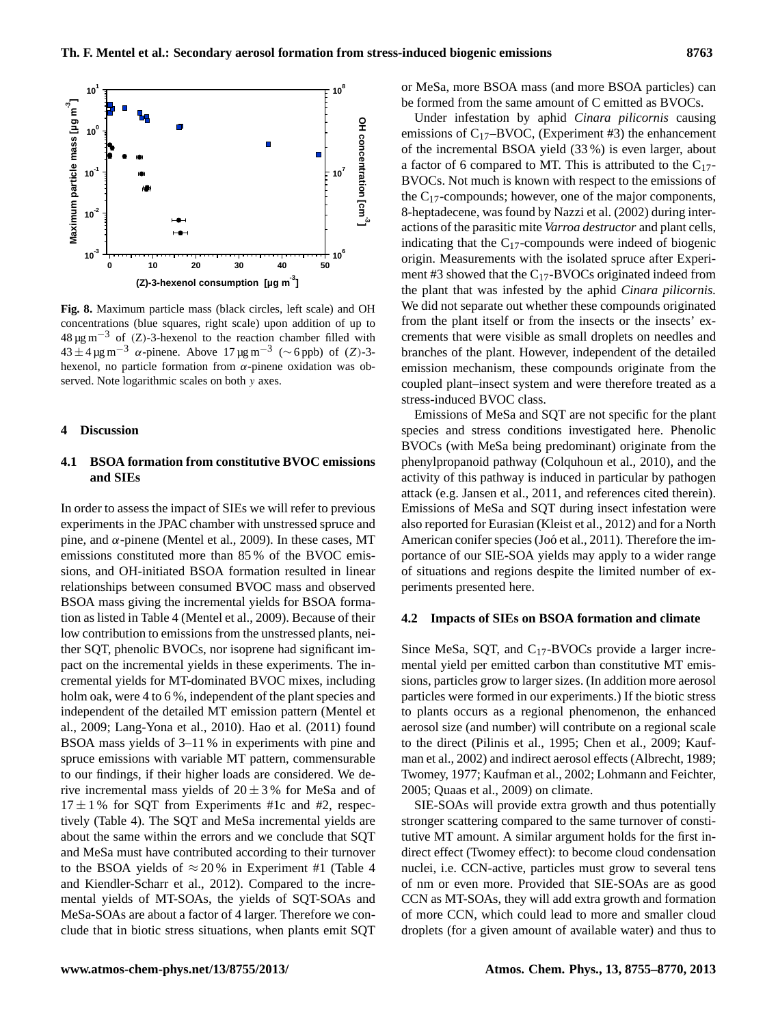

**Fig. 8.** Maximum particle mass (black circles, left scale) and OH concentrations (blue squares, right scale) upon addition of up to  $48 \,\mu\text{g m}^{-3}$  of (Z)-3-hexenol to the reaction chamber filled with  $43 \pm 4 \,\mu\text{g m}^{-3}$   $\alpha$ -pinene. Above  $17 \,\mu\text{g m}^{-3}$  (~6 ppb) of (Z)-3hexenol, no particle formation from  $\alpha$ -pinene oxidation was observed. Note logarithmic scales on both y axes.

#### **4 Discussion**

# **4.1 BSOA formation from constitutive BVOC emissions and SIEs**

In order to assess the impact of SIEs we will refer to previous experiments in the JPAC chamber with unstressed spruce and pine, and  $\alpha$ -pinene (Mentel et al., 2009). In these cases, MT emissions constituted more than 85 % of the BVOC emissions, and OH-initiated BSOA formation resulted in linear relationships between consumed BVOC mass and observed BSOA mass giving the incremental yields for BSOA formation as listed in Table 4 (Mentel et al., 2009). Because of their low contribution to emissions from the unstressed plants, neither SQT, phenolic BVOCs, nor isoprene had significant impact on the incremental yields in these experiments. The incremental yields for MT-dominated BVOC mixes, including holm oak, were 4 to 6%, independent of the plant species and independent of the detailed MT emission pattern (Mentel et al., 2009; Lang-Yona et al., 2010). Hao et al. (2011) found BSOA mass yields of 3–11 % in experiments with pine and spruce emissions with variable MT pattern, commensurable to our findings, if their higher loads are considered. We derive incremental mass yields of  $20 \pm 3$ % for MeSa and of  $17 \pm 1$  % for SQT from Experiments #1c and #2, respectively (Table 4). The SQT and MeSa incremental yields are about the same within the errors and we conclude that SQT and MeSa must have contributed according to their turnover to the BSOA yields of  $\approx 20\%$  in Experiment #1 (Table 4 and Kiendler-Scharr et al., 2012). Compared to the incremental yields of MT-SOAs, the yields of SQT-SOAs and MeSa-SOAs are about a factor of 4 larger. Therefore we conclude that in biotic stress situations, when plants emit SQT or MeSa, more BSOA mass (and more BSOA particles) can be formed from the same amount of C emitted as BVOCs.

Under infestation by aphid *Cinara pilicornis* causing emissions of  $C_{17}$ –BVOC, (Experiment #3) the enhancement of the incremental BSOA yield (33 %) is even larger, about a factor of 6 compared to MT. This is attributed to the  $C_{17}$ -BVOCs. Not much is known with respect to the emissions of the  $C_{17}$ -compounds; however, one of the major components, 8-heptadecene, was found by Nazzi et al. (2002) during interactions of the parasitic mite *Varroa destructor* and plant cells, indicating that the  $C_{17}$ -compounds were indeed of biogenic origin. Measurements with the isolated spruce after Experiment #3 showed that the  $C_{17}$ -BVOCs originated indeed from the plant that was infested by the aphid *Cinara pilicornis.* We did not separate out whether these compounds originated from the plant itself or from the insects or the insects' excrements that were visible as small droplets on needles and branches of the plant. However, independent of the detailed emission mechanism, these compounds originate from the coupled plant–insect system and were therefore treated as a stress-induced BVOC class.

Emissions of MeSa and SQT are not specific for the plant species and stress conditions investigated here. Phenolic BVOCs (with MeSa being predominant) originate from the phenylpropanoid pathway (Colquhoun et al., 2010), and the activity of this pathway is induced in particular by pathogen attack (e.g. Jansen et al., 2011, and references cited therein). Emissions of MeSa and SQT during insect infestation were also reported for Eurasian (Kleist et al., 2012) and for a North American conifer species (Joó et al., 2011). Therefore the importance of our SIE-SOA yields may apply to a wider range of situations and regions despite the limited number of experiments presented here.

#### **4.2 Impacts of SIEs on BSOA formation and climate**

Since MeSa, SQT, and C17-BVOCs provide a larger incremental yield per emitted carbon than constitutive MT emissions, particles grow to larger sizes. (In addition more aerosol particles were formed in our experiments.) If the biotic stress to plants occurs as a regional phenomenon, the enhanced aerosol size (and number) will contribute on a regional scale to the direct (Pilinis et al., 1995; Chen et al., 2009; Kaufman et al., 2002) and indirect aerosol effects (Albrecht, 1989; Twomey, 1977; Kaufman et al., 2002; Lohmann and Feichter, 2005; Quaas et al., 2009) on climate.

SIE-SOAs will provide extra growth and thus potentially stronger scattering compared to the same turnover of constitutive MT amount. A similar argument holds for the first indirect effect (Twomey effect): to become cloud condensation nuclei, i.e. CCN-active, particles must grow to several tens of nm or even more. Provided that SIE-SOAs are as good CCN as MT-SOAs, they will add extra growth and formation of more CCN, which could lead to more and smaller cloud droplets (for a given amount of available water) and thus to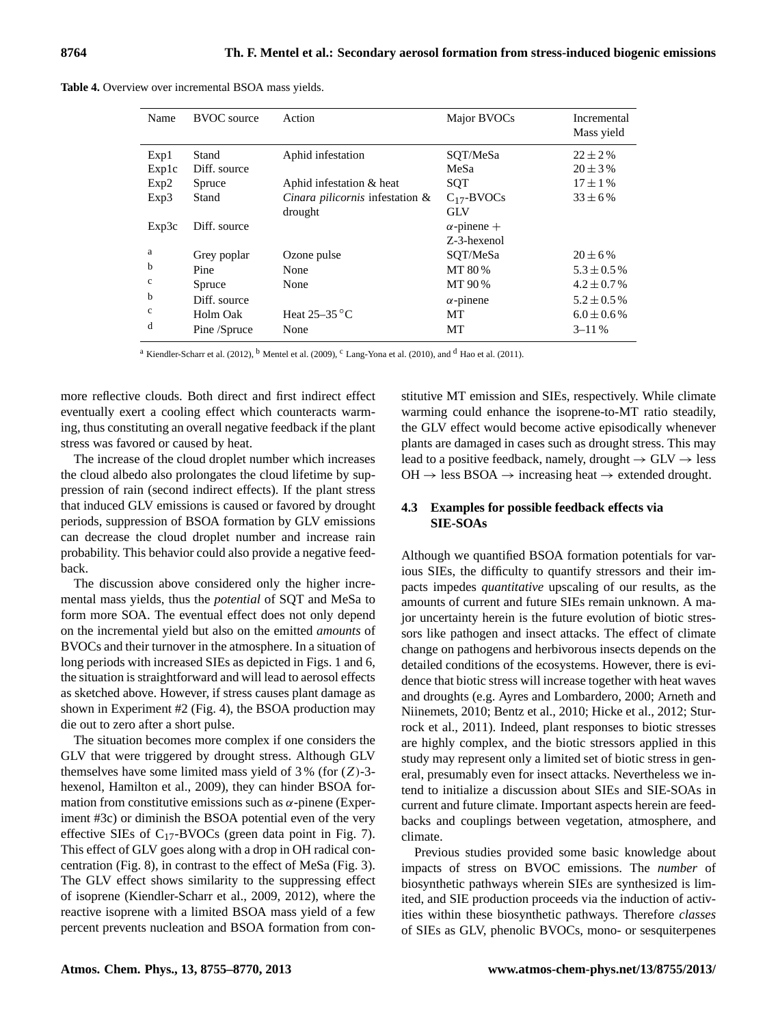|  |  | Table 4. Overview over incremental BSOA mass yields. |  |  |
|--|--|------------------------------------------------------|--|--|
|--|--|------------------------------------------------------|--|--|

| Name          | <b>BVOC</b> source    | Action                                     | Major BVOCs                       | Incremental<br>Mass yield    |
|---------------|-----------------------|--------------------------------------------|-----------------------------------|------------------------------|
| Exp1<br>Explc | Stand<br>Diff. source | Aphid infestation                          | SQT/MeSa<br>MeSa                  | $22 \pm 2\%$<br>$20 \pm 3\%$ |
| Exp2          | Spruce                | Aphid infestation & heat                   | <b>SOT</b>                        | $17 \pm 1\%$                 |
| Exp3          | Stand                 | Cinara pilicornis infestation &<br>drought | $C_{17}$ -BVOCs<br><b>GLV</b>     | $33 \pm 6\%$                 |
| Exp3c         | Diff. source          |                                            | $\alpha$ -pinene +<br>Z-3-hexenol |                              |
| a             | Grey poplar           | Ozone pulse                                | SQT/MeSa                          | $20 \pm 6\%$                 |
| b             | Pine                  | None                                       | MT 80%                            | $5.3 \pm 0.5\%$              |
| $\mathbf c$   | Spruce                | None                                       | MT 90%                            | $4.2 \pm 0.7\%$              |
| b             | Diff. source          |                                            | $\alpha$ -pinene                  | $5.2 \pm 0.5\%$              |
| $\mathbf c$   | Holm Oak              | Heat $25-35$ °C                            | MT                                | $6.0 \pm 0.6\%$              |
| d             | Pine /Spruce          | None                                       | MT                                | $3 - 11\%$                   |

<sup>a</sup> Kiendler-Scharr et al. (2012), <sup>b</sup> Mentel et al. (2009), <sup>c</sup> Lang-Yona et al. (2010), and <sup>d</sup> Hao et al. (2011).

more reflective clouds. Both direct and first indirect effect eventually exert a cooling effect which counteracts warming, thus constituting an overall negative feedback if the plant stress was favored or caused by heat.

The increase of the cloud droplet number which increases the cloud albedo also prolongates the cloud lifetime by suppression of rain (second indirect effects). If the plant stress that induced GLV emissions is caused or favored by drought periods, suppression of BSOA formation by GLV emissions can decrease the cloud droplet number and increase rain probability. This behavior could also provide a negative feedback.

The discussion above considered only the higher incremental mass yields, thus the *potential* of SQT and MeSa to form more SOA. The eventual effect does not only depend on the incremental yield but also on the emitted *amounts* of BVOCs and their turnover in the atmosphere. In a situation of long periods with increased SIEs as depicted in Figs. 1 and 6, the situation is straightforward and will lead to aerosol effects as sketched above. However, if stress causes plant damage as shown in Experiment #2 (Fig. 4), the BSOA production may die out to zero after a short pulse.

The situation becomes more complex if one considers the GLV that were triggered by drought stress. Although GLV themselves have some limited mass yield of  $3\%$  (for  $(Z)$ -3hexenol, Hamilton et al., 2009), they can hinder BSOA formation from constitutive emissions such as  $\alpha$ -pinene (Experiment #3c) or diminish the BSOA potential even of the very effective SIEs of  $C_{17}$ -BVOCs (green data point in Fig. 7). This effect of GLV goes along with a drop in OH radical concentration (Fig. 8), in contrast to the effect of MeSa (Fig. 3). The GLV effect shows similarity to the suppressing effect of isoprene (Kiendler-Scharr et al., 2009, 2012), where the reactive isoprene with a limited BSOA mass yield of a few percent prevents nucleation and BSOA formation from constitutive MT emission and SIEs, respectively. While climate warming could enhance the isoprene-to-MT ratio steadily, the GLV effect would become active episodically whenever plants are damaged in cases such as drought stress. This may lead to a positive feedback, namely, drought  $\rightarrow$  GLV  $\rightarrow$  less  $OH \rightarrow$  less BSOA  $\rightarrow$  increasing heat  $\rightarrow$  extended drought.

## **4.3 Examples for possible feedback effects via SIE-SOAs**

Although we quantified BSOA formation potentials for various SIEs, the difficulty to quantify stressors and their impacts impedes *quantitative* upscaling of our results, as the amounts of current and future SIEs remain unknown. A major uncertainty herein is the future evolution of biotic stressors like pathogen and insect attacks. The effect of climate change on pathogens and herbivorous insects depends on the detailed conditions of the ecosystems. However, there is evidence that biotic stress will increase together with heat waves and droughts (e.g. Ayres and Lombardero, 2000; Arneth and Niinemets, 2010; Bentz et al., 2010; Hicke et al., 2012; Sturrock et al., 2011). Indeed, plant responses to biotic stresses are highly complex, and the biotic stressors applied in this study may represent only a limited set of biotic stress in general, presumably even for insect attacks. Nevertheless we intend to initialize a discussion about SIEs and SIE-SOAs in current and future climate. Important aspects herein are feedbacks and couplings between vegetation, atmosphere, and climate.

Previous studies provided some basic knowledge about impacts of stress on BVOC emissions. The *number* of biosynthetic pathways wherein SIEs are synthesized is limited, and SIE production proceeds via the induction of activities within these biosynthetic pathways. Therefore *classes* of SIEs as GLV, phenolic BVOCs, mono- or sesquiterpenes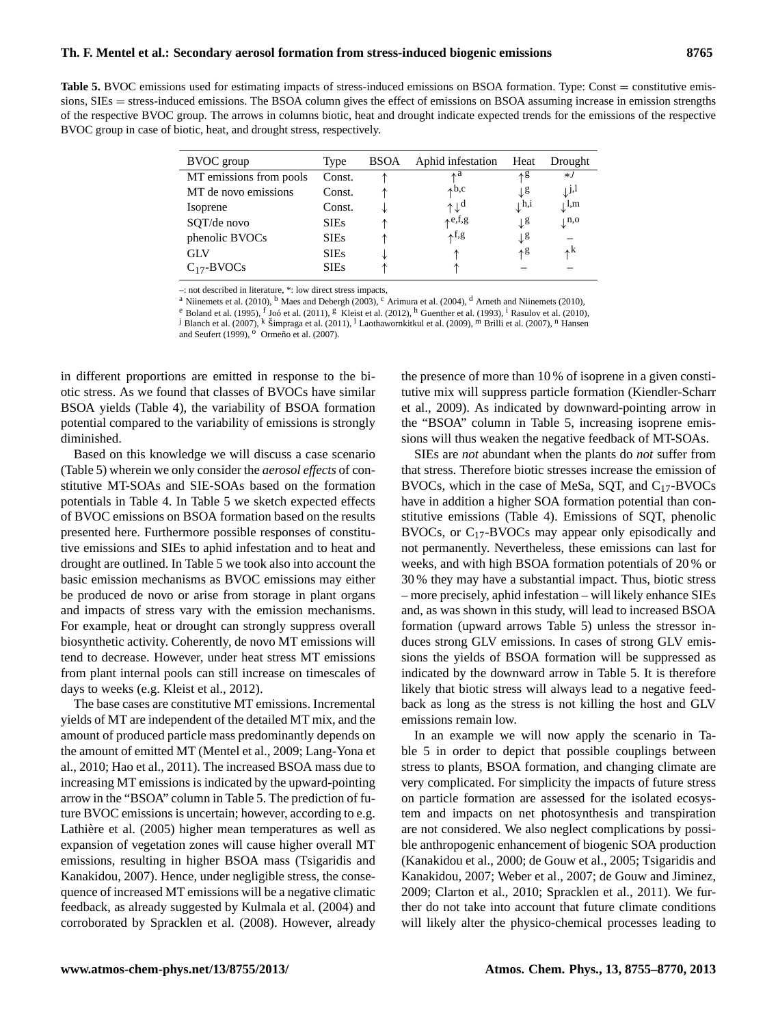**Table 5.** BVOC emissions used for estimating impacts of stress-induced emissions on BSOA formation. Type: Const = constitutive emissions, SIEs = stress-induced emissions. The BSOA column gives the effect of emissions on BSOA assuming increase in emission strengths of the respective BVOC group. The arrows in columns biotic, heat and drought indicate expected trends for the emissions of the respective BVOC group in case of biotic, heat, and drought stress, respectively.

| BVOC group              | Type        | <b>BSOA</b> | Aphid infestation                | Heat             | Drought                     |
|-------------------------|-------------|-------------|----------------------------------|------------------|-----------------------------|
| MT emissions from pools | Const.      |             | ٨a                               | ላይ               | $*J$                        |
| MT de novo emissions    | Const.      |             | $\uparrow$ b,c                   | Τg               | $\downarrow$ j,l            |
| Isoprene                | Const.      | ↓           | $\uparrow \downarrow^{\text{d}}$ | $\downarrow$ h,i | $\downarrow$ l,m            |
| SQT/de novo             | <b>SIEs</b> |             | $\uparrow$ e,f,g                 | $\downarrow$ g   | $\downarrow$ <sup>n,o</sup> |
| phenolic BVOCs          | <b>SIEs</b> |             | ↑ <sup>f,g</sup>                 | Ţg               |                             |
| <b>GLV</b>              | <b>SIEs</b> |             |                                  | ላይ               | $\mathbf{A}^{\mathbf{k}}$   |
| $C_{17}$ -BVOCs         | <b>SIEs</b> |             |                                  |                  |                             |

–: not described in literature, \*: low direct stress impacts,

<sup>a</sup> Niinemets et al. (2010), <sup>b</sup> Maes and Debergh (2003), <sup>c</sup> Arimura et al. (2004), <sup>d</sup> Arneth and Niinemets (2010),

<sup>e</sup> Boland et al. (1995), <sup>f</sup> Joó et al. (2011), <sup>g</sup> Kleist et al. (2012), <sup>h</sup> Guenther et al. (1993), <sup>i</sup> Rasulov et al. (2010), <sup>b</sup> Bilanch et al. (2007), <sup>k</sup> Šimpraga et al. (2011), <sup>l</sup> Laothawornkitkul et al. (2009), <sup></sup>

in different proportions are emitted in response to the biotic stress. As we found that classes of BVOCs have similar BSOA yields (Table 4), the variability of BSOA formation potential compared to the variability of emissions is strongly diminished.

Based on this knowledge we will discuss a case scenario (Table 5) wherein we only consider the *aerosol effects* of constitutive MT-SOAs and SIE-SOAs based on the formation potentials in Table 4. In Table 5 we sketch expected effects of BVOC emissions on BSOA formation based on the results presented here. Furthermore possible responses of constitutive emissions and SIEs to aphid infestation and to heat and drought are outlined. In Table 5 we took also into account the basic emission mechanisms as BVOC emissions may either be produced de novo or arise from storage in plant organs and impacts of stress vary with the emission mechanisms. For example, heat or drought can strongly suppress overall biosynthetic activity. Coherently, de novo MT emissions will tend to decrease. However, under heat stress MT emissions from plant internal pools can still increase on timescales of days to weeks (e.g. Kleist et al., 2012).

The base cases are constitutive MT emissions. Incremental yields of MT are independent of the detailed MT mix, and the amount of produced particle mass predominantly depends on the amount of emitted MT (Mentel et al., 2009; Lang-Yona et al., 2010; Hao et al., 2011). The increased BSOA mass due to increasing MT emissions is indicated by the upward-pointing arrow in the "BSOA" column in Table 5. The prediction of future BVOC emissions is uncertain; however, according to e.g. Lathière et al. (2005) higher mean temperatures as well as expansion of vegetation zones will cause higher overall MT emissions, resulting in higher BSOA mass (Tsigaridis and Kanakidou, 2007). Hence, under negligible stress, the consequence of increased MT emissions will be a negative climatic feedback, as already suggested by Kulmala et al. (2004) and corroborated by Spracklen et al. (2008). However, already the presence of more than 10 % of isoprene in a given constitutive mix will suppress particle formation (Kiendler-Scharr et al., 2009). As indicated by downward-pointing arrow in the "BSOA" column in Table 5, increasing isoprene emissions will thus weaken the negative feedback of MT-SOAs.

SIEs are *not* abundant when the plants do *not* suffer from that stress. Therefore biotic stresses increase the emission of BVOCs, which in the case of MeSa, SQT, and  $C_{17}$ -BVOCs have in addition a higher SOA formation potential than constitutive emissions (Table 4). Emissions of SQT, phenolic BVOCs, or C17-BVOCs may appear only episodically and not permanently. Nevertheless, these emissions can last for weeks, and with high BSOA formation potentials of 20 % or 30 % they may have a substantial impact. Thus, biotic stress – more precisely, aphid infestation – will likely enhance SIEs and, as was shown in this study, will lead to increased BSOA formation (upward arrows Table 5) unless the stressor induces strong GLV emissions. In cases of strong GLV emissions the yields of BSOA formation will be suppressed as indicated by the downward arrow in Table 5. It is therefore likely that biotic stress will always lead to a negative feedback as long as the stress is not killing the host and GLV emissions remain low.

In an example we will now apply the scenario in Table 5 in order to depict that possible couplings between stress to plants, BSOA formation, and changing climate are very complicated. For simplicity the impacts of future stress on particle formation are assessed for the isolated ecosystem and impacts on net photosynthesis and transpiration are not considered. We also neglect complications by possible anthropogenic enhancement of biogenic SOA production (Kanakidou et al., 2000; de Gouw et al., 2005; Tsigaridis and Kanakidou, 2007; Weber et al., 2007; de Gouw and Jiminez, 2009; Clarton et al., 2010; Spracklen et al., 2011). We further do not take into account that future climate conditions will likely alter the physico-chemical processes leading to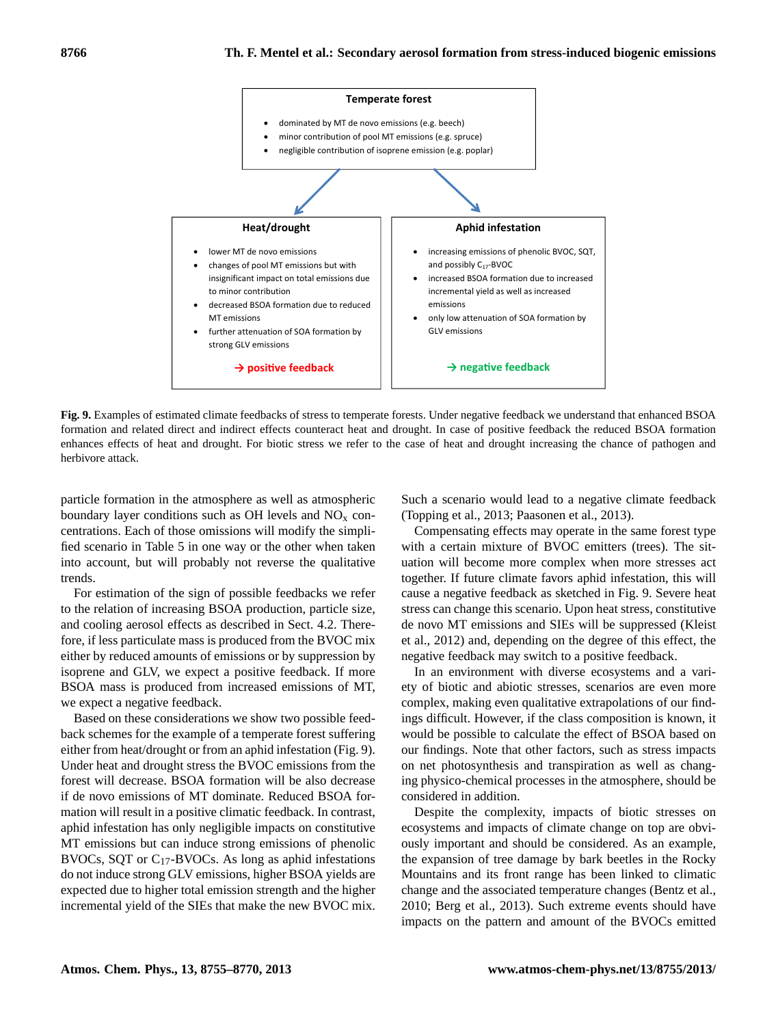

**Fig. 9.** Examples of estimated climate feedbacks of stress to temperate forests. Under negative feedback we understand that enhanced BSOA formation and related direct and indirect effects counteract heat and drought. In case of positive feedback the reduced BSOA formation enhances effects of heat and drought. For biotic stress we refer to the case of heat and drought increasing the chance of pathogen and herbivore attack.

particle formation in the atmosphere as well as atmospheric boundary layer conditions such as OH levels and  $NO<sub>x</sub>$  concentrations. Each of those omissions will modify the simplified scenario in Table 5 in one way or the other when taken into account, but will probably not reverse the qualitative trends.

For estimation of the sign of possible feedbacks we refer to the relation of increasing BSOA production, particle size, and cooling aerosol effects as described in Sect. 4.2. Therefore, if less particulate mass is produced from the BVOC mix either by reduced amounts of emissions or by suppression by isoprene and GLV, we expect a positive feedback. If more BSOA mass is produced from increased emissions of MT, we expect a negative feedback.

Based on these considerations we show two possible feedback schemes for the example of a temperate forest suffering either from heat/drought or from an aphid infestation (Fig. 9). Under heat and drought stress the BVOC emissions from the forest will decrease. BSOA formation will be also decrease if de novo emissions of MT dominate. Reduced BSOA formation will result in a positive climatic feedback. In contrast, aphid infestation has only negligible impacts on constitutive MT emissions but can induce strong emissions of phenolic BVOCs, SQT or C17-BVOCs. As long as aphid infestations do not induce strong GLV emissions, higher BSOA yields are expected due to higher total emission strength and the higher incremental yield of the SIEs that make the new BVOC mix. Such a scenario would lead to a negative climate feedback (Topping et al., 2013; Paasonen et al., 2013).

Compensating effects may operate in the same forest type with a certain mixture of BVOC emitters (trees). The situation will become more complex when more stresses act together. If future climate favors aphid infestation, this will cause a negative feedback as sketched in Fig. 9. Severe heat stress can change this scenario. Upon heat stress, constitutive de novo MT emissions and SIEs will be suppressed (Kleist et al., 2012) and, depending on the degree of this effect, the negative feedback may switch to a positive feedback.

In an environment with diverse ecosystems and a variety of biotic and abiotic stresses, scenarios are even more complex, making even qualitative extrapolations of our findings difficult. However, if the class composition is known, it would be possible to calculate the effect of BSOA based on our findings. Note that other factors, such as stress impacts on net photosynthesis and transpiration as well as changing physico-chemical processes in the atmosphere, should be considered in addition.

Despite the complexity, impacts of biotic stresses on ecosystems and impacts of climate change on top are obviously important and should be considered. As an example, the expansion of tree damage by bark beetles in the Rocky Mountains and its front range has been linked to climatic change and the associated temperature changes (Bentz et al., 2010; Berg et al., 2013). Such extreme events should have impacts on the pattern and amount of the BVOCs emitted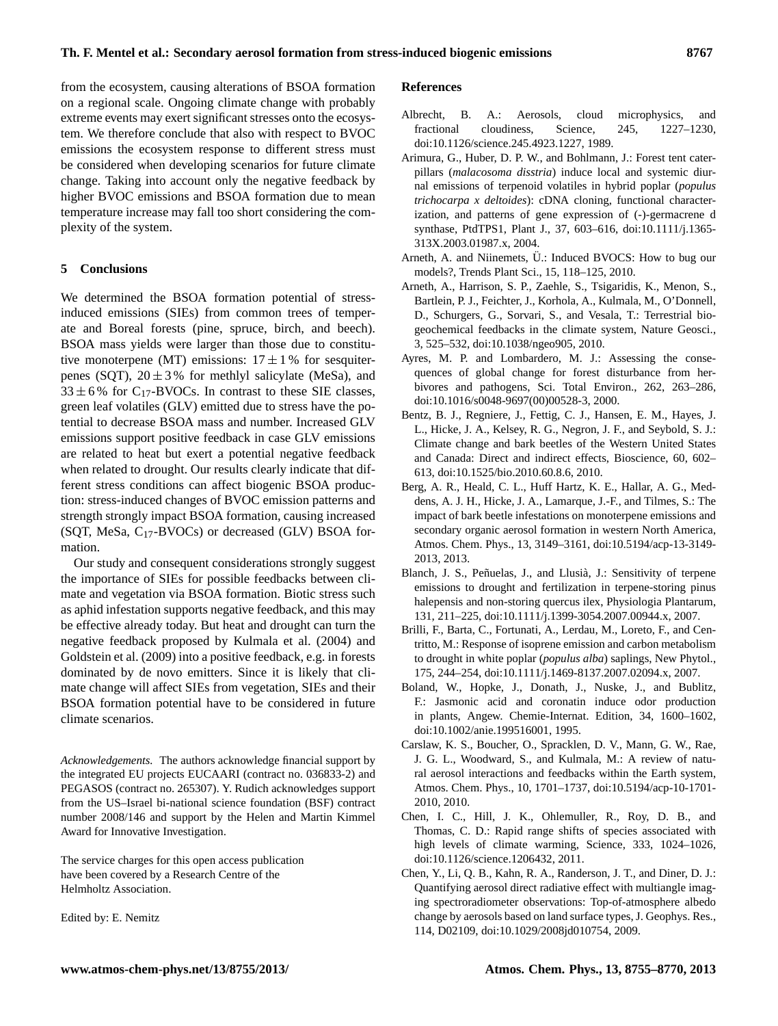from the ecosystem, causing alterations of BSOA formation on a regional scale. Ongoing climate change with probably extreme events may exert significant stresses onto the ecosystem. We therefore conclude that also with respect to BVOC emissions the ecosystem response to different stress must be considered when developing scenarios for future climate change. Taking into account only the negative feedback by higher BVOC emissions and BSOA formation due to mean temperature increase may fall too short considering the complexity of the system.

## **5 Conclusions**

We determined the BSOA formation potential of stressinduced emissions (SIEs) from common trees of temperate and Boreal forests (pine, spruce, birch, and beech). BSOA mass yields were larger than those due to constitutive monoterpene (MT) emissions:  $17 \pm 1$  % for sesquiterpenes (SQT),  $20 \pm 3$ % for methlyl salicylate (MeSa), and  $33 \pm 6$ % for C<sub>17</sub>-BVOCs. In contrast to these SIE classes, green leaf volatiles (GLV) emitted due to stress have the potential to decrease BSOA mass and number. Increased GLV emissions support positive feedback in case GLV emissions are related to heat but exert a potential negative feedback when related to drought. Our results clearly indicate that different stress conditions can affect biogenic BSOA production: stress-induced changes of BVOC emission patterns and strength strongly impact BSOA formation, causing increased (SQT, MeSa,  $C_{17}$ -BVOCs) or decreased (GLV) BSOA formation.

Our study and consequent considerations strongly suggest the importance of SIEs for possible feedbacks between climate and vegetation via BSOA formation. Biotic stress such as aphid infestation supports negative feedback, and this may be effective already today. But heat and drought can turn the negative feedback proposed by Kulmala et al. (2004) and Goldstein et al. (2009) into a positive feedback, e.g. in forests dominated by de novo emitters. Since it is likely that climate change will affect SIEs from vegetation, SIEs and their BSOA formation potential have to be considered in future climate scenarios.

*Acknowledgements.* The authors acknowledge financial support by the integrated EU projects EUCAARI (contract no. 036833-2) and PEGASOS (contract no. 265307). Y. Rudich acknowledges support from the US–Israel bi-national science foundation (BSF) contract number 2008/146 and support by the Helen and Martin Kimmel Award for Innovative Investigation.

The service charges for this open access publication have been covered by a Research Centre of the Helmholtz Association.

Edited by: E. Nemitz

#### **References**

- Albrecht, B. A.: Aerosols, cloud microphysics, and fractional cloudiness, Science, 245, 1227–1230, doi[:10.1126/science.245.4923.1227,](http://dx.doi.org/10.1126/science.245.4923.1227) 1989.
- Arimura, G., Huber, D. P. W., and Bohlmann, J.: Forest tent caterpillars (*malacosoma disstria*) induce local and systemic diurnal emissions of terpenoid volatiles in hybrid poplar (*populus trichocarpa x deltoides*): cDNA cloning, functional characterization, and patterns of gene expression of (-)-germacrene d synthase, PtdTPS1, Plant J., 37, 603–616, doi[:10.1111/j.1365-](http://dx.doi.org/10.1111/j.1365-313X.2003.01987.x) [313X.2003.01987.x,](http://dx.doi.org/10.1111/j.1365-313X.2003.01987.x) 2004.
- Arneth, A. and Niinemets, U.: Induced BVOCS: How to bug our models?, Trends Plant Sci., 15, 118–125, 2010.
- Arneth, A., Harrison, S. P., Zaehle, S., Tsigaridis, K., Menon, S., Bartlein, P. J., Feichter, J., Korhola, A., Kulmala, M., O'Donnell, D., Schurgers, G., Sorvari, S., and Vesala, T.: Terrestrial biogeochemical feedbacks in the climate system, Nature Geosci., 3, 525–532, doi[:10.1038/ngeo905,](http://dx.doi.org/10.1038/ngeo905) 2010.
- Ayres, M. P. and Lombardero, M. J.: Assessing the consequences of global change for forest disturbance from herbivores and pathogens, Sci. Total Environ., 262, 263–286, doi[:10.1016/s0048-9697\(00\)00528-3,](http://dx.doi.org/10.1016/s0048-9697(00)00528-3) 2000.
- Bentz, B. J., Regniere, J., Fettig, C. J., Hansen, E. M., Hayes, J. L., Hicke, J. A., Kelsey, R. G., Negron, J. F., and Seybold, S. J.: Climate change and bark beetles of the Western United States and Canada: Direct and indirect effects, Bioscience, 60, 602– 613, doi[:10.1525/bio.2010.60.8.6,](http://dx.doi.org/10.1525/bio.2010.60.8.6) 2010.
- Berg, A. R., Heald, C. L., Huff Hartz, K. E., Hallar, A. G., Meddens, A. J. H., Hicke, J. A., Lamarque, J.-F., and Tilmes, S.: The impact of bark beetle infestations on monoterpene emissions and secondary organic aerosol formation in western North America, Atmos. Chem. Phys., 13, 3149–3161, doi[:10.5194/acp-13-3149-](http://dx.doi.org/10.5194/acp-13-3149-2013) [2013,](http://dx.doi.org/10.5194/acp-13-3149-2013) 2013.
- Blanch, J. S., Peñuelas, J., and Llusià, J.: Sensitivity of terpene emissions to drought and fertilization in terpene-storing pinus halepensis and non-storing quercus ilex, Physiologia Plantarum, 131, 211–225, doi[:10.1111/j.1399-3054.2007.00944.x,](http://dx.doi.org/10.1111/j.1399-3054.2007.00944.x) 2007.
- Brilli, F., Barta, C., Fortunati, A., Lerdau, M., Loreto, F., and Centritto, M.: Response of isoprene emission and carbon metabolism to drought in white poplar (*populus alba*) saplings, New Phytol., 175, 244–254, doi[:10.1111/j.1469-8137.2007.02094.x,](http://dx.doi.org/10.1111/j.1469-8137.2007.02094.x) 2007.
- Boland, W., Hopke, J., Donath, J., Nuske, J., and Bublitz, F.: Jasmonic acid and coronatin induce odor production in plants, Angew. Chemie-Internat. Edition, 34, 1600–1602, doi[:10.1002/anie.199516001,](http://dx.doi.org/10.1002/anie.199516001) 1995.
- Carslaw, K. S., Boucher, O., Spracklen, D. V., Mann, G. W., Rae, J. G. L., Woodward, S., and Kulmala, M.: A review of natural aerosol interactions and feedbacks within the Earth system, Atmos. Chem. Phys., 10, 1701–1737, doi[:10.5194/acp-10-1701-](http://dx.doi.org/10.5194/acp-10-1701-2010) [2010,](http://dx.doi.org/10.5194/acp-10-1701-2010) 2010.
- Chen, I. C., Hill, J. K., Ohlemuller, R., Roy, D. B., and Thomas, C. D.: Rapid range shifts of species associated with high levels of climate warming, Science, 333, 1024–1026, doi[:10.1126/science.1206432,](http://dx.doi.org/10.1126/science.1206432) 2011.
- Chen, Y., Li, Q. B., Kahn, R. A., Randerson, J. T., and Diner, D. J.: Quantifying aerosol direct radiative effect with multiangle imaging spectroradiometer observations: Top-of-atmosphere albedo change by aerosols based on land surface types, J. Geophys. Res., 114, D02109, doi[:10.1029/2008jd010754,](http://dx.doi.org/10.1029/2008jd010754) 2009.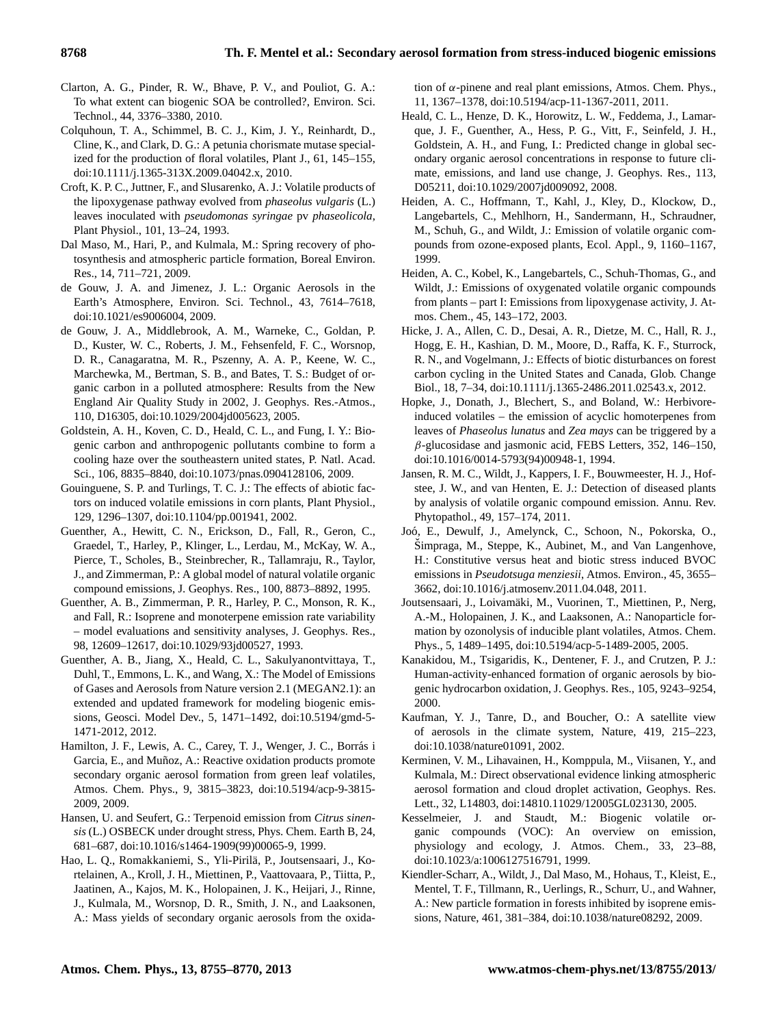- Clarton, A. G., Pinder, R. W., Bhave, P. V., and Pouliot, G. A.: To what extent can biogenic SOA be controlled?, Environ. Sci. Technol., 44, 3376–3380, 2010.
- Colquhoun, T. A., Schimmel, B. C. J., Kim, J. Y., Reinhardt, D., Cline, K., and Clark, D. G.: A petunia chorismate mutase specialized for the production of floral volatiles, Plant J., 61, 145–155, doi[:10.1111/j.1365-313X.2009.04042.x,](http://dx.doi.org/10.1111/j.1365-313X.2009.04042.x) 2010.
- Croft, K. P. C., Juttner, F., and Slusarenko, A. J.: Volatile products of the lipoxygenase pathway evolved from *phaseolus vulgaris* (L.) leaves inoculated with *pseudomonas syringae* pv *phaseolicola*, Plant Physiol., 101, 13–24, 1993.
- Dal Maso, M., Hari, P., and Kulmala, M.: Spring recovery of photosynthesis and atmospheric particle formation, Boreal Environ. Res., 14, 711–721, 2009.
- de Gouw, J. A. and Jimenez, J. L.: Organic Aerosols in the Earth's Atmosphere, Environ. Sci. Technol., 43, 7614–7618, doi[:10.1021/es9006004,](http://dx.doi.org/10.1021/es9006004) 2009.
- de Gouw, J. A., Middlebrook, A. M., Warneke, C., Goldan, P. D., Kuster, W. C., Roberts, J. M., Fehsenfeld, F. C., Worsnop, D. R., Canagaratna, M. R., Pszenny, A. A. P., Keene, W. C., Marchewka, M., Bertman, S. B., and Bates, T. S.: Budget of organic carbon in a polluted atmosphere: Results from the New England Air Quality Study in 2002, J. Geophys. Res.-Atmos., 110, D16305, doi[:10.1029/2004jd005623,](http://dx.doi.org/10.1029/2004jd005623) 2005.
- Goldstein, A. H., Koven, C. D., Heald, C. L., and Fung, I. Y.: Biogenic carbon and anthropogenic pollutants combine to form a cooling haze over the southeastern united states, P. Natl. Acad. Sci., 106, 8835–8840, doi[:10.1073/pnas.0904128106,](http://dx.doi.org/10.1073/pnas.0904128106) 2009.
- Gouinguene, S. P. and Turlings, T. C. J.: The effects of abiotic factors on induced volatile emissions in corn plants, Plant Physiol., 129, 1296–1307, doi[:10.1104/pp.001941,](http://dx.doi.org/10.1104/pp.001941) 2002.
- Guenther, A., Hewitt, C. N., Erickson, D., Fall, R., Geron, C., Graedel, T., Harley, P., Klinger, L., Lerdau, M., McKay, W. A., Pierce, T., Scholes, B., Steinbrecher, R., Tallamraju, R., Taylor, J., and Zimmerman, P.: A global model of natural volatile organic compound emissions, J. Geophys. Res., 100, 8873–8892, 1995.
- Guenther, A. B., Zimmerman, P. R., Harley, P. C., Monson, R. K., and Fall, R.: Isoprene and monoterpene emission rate variability – model evaluations and sensitivity analyses, J. Geophys. Res., 98, 12609–12617, doi[:10.1029/93jd00527,](http://dx.doi.org/10.1029/93jd00527) 1993.
- Guenther, A. B., Jiang, X., Heald, C. L., Sakulyanontvittaya, T., Duhl, T., Emmons, L. K., and Wang, X.: The Model of Emissions of Gases and Aerosols from Nature version 2.1 (MEGAN2.1): an extended and updated framework for modeling biogenic emissions, Geosci. Model Dev., 5, 1471–1492, doi[:10.5194/gmd-5-](http://dx.doi.org/10.5194/gmd-5-1471-2012) [1471-2012,](http://dx.doi.org/10.5194/gmd-5-1471-2012) 2012.
- Hamilton, J. F., Lewis, A. C., Carey, T. J., Wenger, J. C., Borrás i Garcia, E., and Muñoz, A.: Reactive oxidation products promote secondary organic aerosol formation from green leaf volatiles, Atmos. Chem. Phys., 9, 3815–3823, doi[:10.5194/acp-9-3815-](http://dx.doi.org/10.5194/acp-9-3815-2009) [2009,](http://dx.doi.org/10.5194/acp-9-3815-2009) 2009.
- Hansen, U. and Seufert, G.: Terpenoid emission from *Citrus sinensis* (L.) OSBECK under drought stress, Phys. Chem. Earth B, 24, 681–687, doi[:10.1016/s1464-1909\(99\)00065-9,](http://dx.doi.org/10.1016/s1464-1909(99)00065-9) 1999.
- Hao, L. Q., Romakkaniemi, S., Yli-Pirila, P., Joutsensaari, J., Ko- ¨ rtelainen, A., Kroll, J. H., Miettinen, P., Vaattovaara, P., Tiitta, P., Jaatinen, A., Kajos, M. K., Holopainen, J. K., Heijari, J., Rinne, J., Kulmala, M., Worsnop, D. R., Smith, J. N., and Laaksonen, A.: Mass yields of secondary organic aerosols from the oxida-

tion of  $\alpha$ -pinene and real plant emissions, Atmos. Chem. Phys., 11, 1367–1378, doi[:10.5194/acp-11-1367-2011,](http://dx.doi.org/10.5194/acp-11-1367-2011) 2011.

- Heald, C. L., Henze, D. K., Horowitz, L. W., Feddema, J., Lamarque, J. F., Guenther, A., Hess, P. G., Vitt, F., Seinfeld, J. H., Goldstein, A. H., and Fung, I.: Predicted change in global secondary organic aerosol concentrations in response to future climate, emissions, and land use change, J. Geophys. Res., 113, D05211, doi[:10.1029/2007jd009092,](http://dx.doi.org/10.1029/2007jd009092) 2008.
- Heiden, A. C., Hoffmann, T., Kahl, J., Kley, D., Klockow, D., Langebartels, C., Mehlhorn, H., Sandermann, H., Schraudner, M., Schuh, G., and Wildt, J.: Emission of volatile organic compounds from ozone-exposed plants, Ecol. Appl., 9, 1160–1167, 1999.
- Heiden, A. C., Kobel, K., Langebartels, C., Schuh-Thomas, G., and Wildt, J.: Emissions of oxygenated volatile organic compounds from plants – part I: Emissions from lipoxygenase activity, J. Atmos. Chem., 45, 143–172, 2003.
- Hicke, J. A., Allen, C. D., Desai, A. R., Dietze, M. C., Hall, R. J., Hogg, E. H., Kashian, D. M., Moore, D., Raffa, K. F., Sturrock, R. N., and Vogelmann, J.: Effects of biotic disturbances on forest carbon cycling in the United States and Canada, Glob. Change Biol., 18, 7–34, doi[:10.1111/j.1365-2486.2011.02543.x,](http://dx.doi.org/10.1111/j.1365-2486.2011.02543.x) 2012.
- Hopke, J., Donath, J., Blechert, S., and Boland, W.: Herbivoreinduced volatiles – the emission of acyclic homoterpenes from leaves of *Phaseolus lunatus* and *Zea mays* can be triggered by a  $\beta$ -glucosidase and jasmonic acid, FEBS Letters, 352, 146–150, doi[:10.1016/0014-5793\(94\)00948-1,](http://dx.doi.org/10.1016/0014-5793(94)00948-1) 1994.
- Jansen, R. M. C., Wildt, J., Kappers, I. F., Bouwmeester, H. J., Hofstee, J. W., and van Henten, E. J.: Detection of diseased plants by analysis of volatile organic compound emission. Annu. Rev. Phytopathol., 49, 157–174, 2011.
- Joo, E., Dewulf, J., Amelynck, C., Schoon, N., Pokorska, O., ´ Simpraga, M., Steppe, K., Aubinet, M., and Van Langenhove, H.: Constitutive versus heat and biotic stress induced BVOC emissions in *Pseudotsuga menziesii*, Atmos. Environ., 45, 3655– 3662, doi[:10.1016/j.atmosenv.2011.04.048,](http://dx.doi.org/10.1016/j.atmosenv.2011.04.048) 2011.
- Joutsensaari, J., Loivamaki, M., Vuorinen, T., Miettinen, P., Nerg, ¨ A.-M., Holopainen, J. K., and Laaksonen, A.: Nanoparticle formation by ozonolysis of inducible plant volatiles, Atmos. Chem. Phys., 5, 1489–1495, doi[:10.5194/acp-5-1489-2005,](http://dx.doi.org/10.5194/acp-5-1489-2005) 2005.
- Kanakidou, M., Tsigaridis, K., Dentener, F. J., and Crutzen, P. J.: Human-activity-enhanced formation of organic aerosols by biogenic hydrocarbon oxidation, J. Geophys. Res., 105, 9243–9254, 2000.
- Kaufman, Y. J., Tanre, D., and Boucher, O.: A satellite view of aerosols in the climate system, Nature, 419, 215–223, doi[:10.1038/nature01091,](http://dx.doi.org/10.1038/nature01091) 2002.
- Kerminen, V. M., Lihavainen, H., Komppula, M., Viisanen, Y., and Kulmala, M.: Direct observational evidence linking atmospheric aerosol formation and cloud droplet activation, Geophys. Res. Lett., 32, L14803, doi:14810.11029/12005GL023130, 2005.
- Kesselmeier, J. and Staudt, M.: Biogenic volatile organic compounds (VOC): An overview on emission, physiology and ecology, J. Atmos. Chem., 33, 23–88, doi[:10.1023/a:1006127516791,](http://dx.doi.org/10.1023/a:1006127516791) 1999.
- Kiendler-Scharr, A., Wildt, J., Dal Maso, M., Hohaus, T., Kleist, E., Mentel, T. F., Tillmann, R., Uerlings, R., Schurr, U., and Wahner, A.: New particle formation in forests inhibited by isoprene emissions, Nature, 461, 381–384, doi[:10.1038/nature08292,](http://dx.doi.org/10.1038/nature08292) 2009.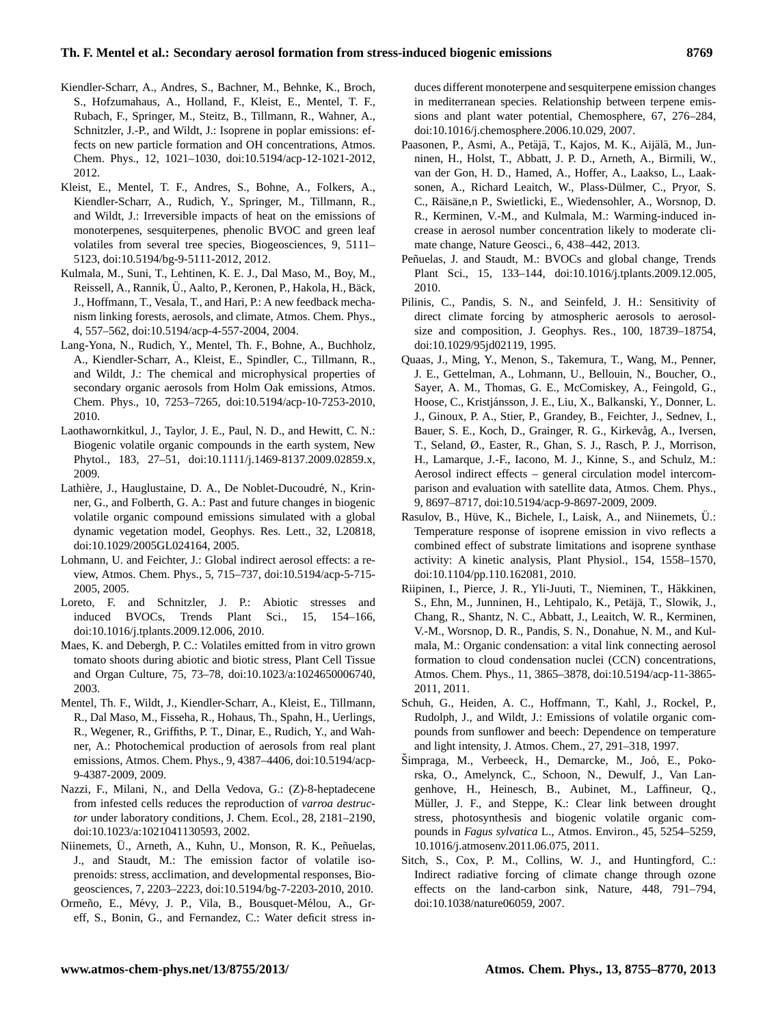- Kiendler-Scharr, A., Andres, S., Bachner, M., Behnke, K., Broch, S., Hofzumahaus, A., Holland, F., Kleist, E., Mentel, T. F., Rubach, F., Springer, M., Steitz, B., Tillmann, R., Wahner, A., Schnitzler, J.-P., and Wildt, J.: Isoprene in poplar emissions: effects on new particle formation and OH concentrations, Atmos. Chem. Phys., 12, 1021–1030, doi[:10.5194/acp-12-1021-2012,](http://dx.doi.org/10.5194/acp-12-1021-2012) 2012.
- Kleist, E., Mentel, T. F., Andres, S., Bohne, A., Folkers, A., Kiendler-Scharr, A., Rudich, Y., Springer, M., Tillmann, R., and Wildt, J.: Irreversible impacts of heat on the emissions of monoterpenes, sesquiterpenes, phenolic BVOC and green leaf volatiles from several tree species, Biogeosciences, 9, 5111– 5123, doi[:10.5194/bg-9-5111-2012,](http://dx.doi.org/10.5194/bg-9-5111-2012) 2012.
- Kulmala, M., Suni, T., Lehtinen, K. E. J., Dal Maso, M., Boy, M., Reissell, A., Rannik, Ü., Aalto, P., Keronen, P., Hakola, H., Bäck, J., Hoffmann, T., Vesala, T., and Hari, P.: A new feedback mechanism linking forests, aerosols, and climate, Atmos. Chem. Phys., 4, 557–562, doi[:10.5194/acp-4-557-2004,](http://dx.doi.org/10.5194/acp-4-557-2004) 2004.
- Lang-Yona, N., Rudich, Y., Mentel, Th. F., Bohne, A., Buchholz, A., Kiendler-Scharr, A., Kleist, E., Spindler, C., Tillmann, R., and Wildt, J.: The chemical and microphysical properties of secondary organic aerosols from Holm Oak emissions, Atmos. Chem. Phys., 10, 7253–7265, doi[:10.5194/acp-10-7253-2010,](http://dx.doi.org/10.5194/acp-10-7253-2010) 2010.
- Laothawornkitkul, J., Taylor, J. E., Paul, N. D., and Hewitt, C. N.: Biogenic volatile organic compounds in the earth system, New Phytol., 183, 27–51, doi[:10.1111/j.1469-8137.2009.02859.x,](http://dx.doi.org/10.1111/j.1469-8137.2009.02859.x) 2009.
- Lathière, J., Hauglustaine, D. A., De Noblet-Ducoudré, N., Krinner, G., and Folberth, G. A.: Past and future changes in biogenic volatile organic compound emissions simulated with a global dynamic vegetation model, Geophys. Res. Lett., 32, L20818, doi[:10.1029/2005GL024164,](http://dx.doi.org/10.1029/2005GL024164) 2005.
- Lohmann, U. and Feichter, J.: Global indirect aerosol effects: a review, Atmos. Chem. Phys., 5, 715–737, doi[:10.5194/acp-5-715-](http://dx.doi.org/10.5194/acp-5-715-2005) [2005,](http://dx.doi.org/10.5194/acp-5-715-2005) 2005.
- Loreto, F. and Schnitzler, J. P.: Abiotic stresses and induced BVOCs, Trends Plant Sci., 15, 154–166, doi[:10.1016/j.tplants.2009.12.006,](http://dx.doi.org/10.1016/j.tplants.2009.12.006) 2010.
- Maes, K. and Debergh, P. C.: Volatiles emitted from in vitro grown tomato shoots during abiotic and biotic stress, Plant Cell Tissue and Organ Culture, 75, 73–78, doi[:10.1023/a:1024650006740,](http://dx.doi.org/10.1023/a:1024650006740) 2003.
- Mentel, Th. F., Wildt, J., Kiendler-Scharr, A., Kleist, E., Tillmann, R., Dal Maso, M., Fisseha, R., Hohaus, Th., Spahn, H., Uerlings, R., Wegener, R., Griffiths, P. T., Dinar, E., Rudich, Y., and Wahner, A.: Photochemical production of aerosols from real plant emissions, Atmos. Chem. Phys., 9, 4387–4406, doi[:10.5194/acp-](http://dx.doi.org/10.5194/acp-9-4387-2009)[9-4387-2009,](http://dx.doi.org/10.5194/acp-9-4387-2009) 2009.
- Nazzi, F., Milani, N., and Della Vedova, G.: (Z)-8-heptadecene from infested cells reduces the reproduction of *varroa destructor* under laboratory conditions, J. Chem. Ecol., 28, 2181–2190, doi[:10.1023/a:1021041130593,](http://dx.doi.org/10.1023/a:1021041130593) 2002.
- Niinemets, Ü., Arneth, A., Kuhn, U., Monson, R. K., Peñuelas, J., and Staudt, M.: The emission factor of volatile isoprenoids: stress, acclimation, and developmental responses, Biogeosciences, 7, 2203–2223, doi[:10.5194/bg-7-2203-2010,](http://dx.doi.org/10.5194/bg-7-2203-2010) 2010.
- Ormeño, E., Mévy, J. P., Vila, B., Bousquet-Mélou, A., Greff, S., Bonin, G., and Fernandez, C.: Water deficit stress in-

duces different monoterpene and sesquiterpene emission changes in mediterranean species. Relationship between terpene emissions and plant water potential, Chemosphere, 67, 276–284, doi[:10.1016/j.chemosphere.2006.10.029,](http://dx.doi.org/10.1016/j.chemosphere.2006.10.029) 2007.

- Paasonen, P., Asmi, A., Petäjä, T., Kajos, M. K., Aijälä, M., Junninen, H., Holst, T., Abbatt, J. P. D., Arneth, A., Birmili, W., van der Gon, H. D., Hamed, A., Hoffer, A., Laakso, L., Laaksonen, A., Richard Leaitch, W., Plass-Dülmer, C., Pryor, S. C., Räisäne,n P., Swietlicki, E., Wiedensohler, A., Worsnop, D. R., Kerminen, V.-M., and Kulmala, M.: Warming-induced increase in aerosol number concentration likely to moderate climate change, Nature Geosci., 6, 438–442, 2013.
- Peñuelas, J. and Staudt, M.: BVOCs and global change, Trends Plant Sci., 15, 133–144, doi[:10.1016/j.tplants.2009.12.005,](http://dx.doi.org/10.1016/j.tplants.2009.12.005) 2010.
- Pilinis, C., Pandis, S. N., and Seinfeld, J. H.: Sensitivity of direct climate forcing by atmospheric aerosols to aerosolsize and composition, J. Geophys. Res., 100, 18739–18754, doi[:10.1029/95jd02119,](http://dx.doi.org/10.1029/95jd02119) 1995.
- Quaas, J., Ming, Y., Menon, S., Takemura, T., Wang, M., Penner, J. E., Gettelman, A., Lohmann, U., Bellouin, N., Boucher, O., Sayer, A. M., Thomas, G. E., McComiskey, A., Feingold, G., Hoose, C., Kristjánsson, J. E., Liu, X., Balkanski, Y., Donner, L. J., Ginoux, P. A., Stier, P., Grandey, B., Feichter, J., Sednev, I., Bauer, S. E., Koch, D., Grainger, R. G., Kirkevåg, A., Iversen, T., Seland, Ø., Easter, R., Ghan, S. J., Rasch, P. J., Morrison, H., Lamarque, J.-F., Iacono, M. J., Kinne, S., and Schulz, M.: Aerosol indirect effects – general circulation model intercomparison and evaluation with satellite data, Atmos. Chem. Phys., 9, 8697–8717, doi[:10.5194/acp-9-8697-2009,](http://dx.doi.org/10.5194/acp-9-8697-2009) 2009.
- Rasulov, B., Hüve, K., Bichele, I., Laisk, A., and Niinemets, Ü.: Temperature response of isoprene emission in vivo reflects a combined effect of substrate limitations and isoprene synthase activity: A kinetic analysis, Plant Physiol., 154, 1558–1570, doi[:10.1104/pp.110.162081,](http://dx.doi.org/10.1104/pp.110.162081) 2010.
- Riipinen, I., Pierce, J. R., Yli-Juuti, T., Nieminen, T., Häkkinen, S., Ehn, M., Junninen, H., Lehtipalo, K., Petäjä, T., Slowik, J., Chang, R., Shantz, N. C., Abbatt, J., Leaitch, W. R., Kerminen, V.-M., Worsnop, D. R., Pandis, S. N., Donahue, N. M., and Kulmala, M.: Organic condensation: a vital link connecting aerosol formation to cloud condensation nuclei (CCN) concentrations, Atmos. Chem. Phys., 11, 3865–3878, doi[:10.5194/acp-11-3865-](http://dx.doi.org/10.5194/acp-11-3865-2011) [2011,](http://dx.doi.org/10.5194/acp-11-3865-2011) 2011.
- Schuh, G., Heiden, A. C., Hoffmann, T., Kahl, J., Rockel, P., Rudolph, J., and Wildt, J.: Emissions of volatile organic compounds from sunflower and beech: Dependence on temperature and light intensity, J. Atmos. Chem., 27, 291–318, 1997.
- Šimpraga, M., Verbeeck, H., Demarcke, M., Joó, E., Pokorska, O., Amelynck, C., Schoon, N., Dewulf, J., Van Langenhove, H., Heinesch, B., Aubinet, M., Laffineur, Q., Müller, J. F., and Steppe, K.: Clear link between drought stress, photosynthesis and biogenic volatile organic compounds in *Fagus sylvatica* L., Atmos. Environ., 45, 5254–5259, 10.1016/j.atmosenv.2011.06.075, 2011.
- Sitch, S., Cox, P. M., Collins, W. J., and Huntingford, C.: Indirect radiative forcing of climate change through ozone effects on the land-carbon sink, Nature, 448, 791–794, doi[:10.1038/nature06059,](http://dx.doi.org/10.1038/nature06059) 2007.